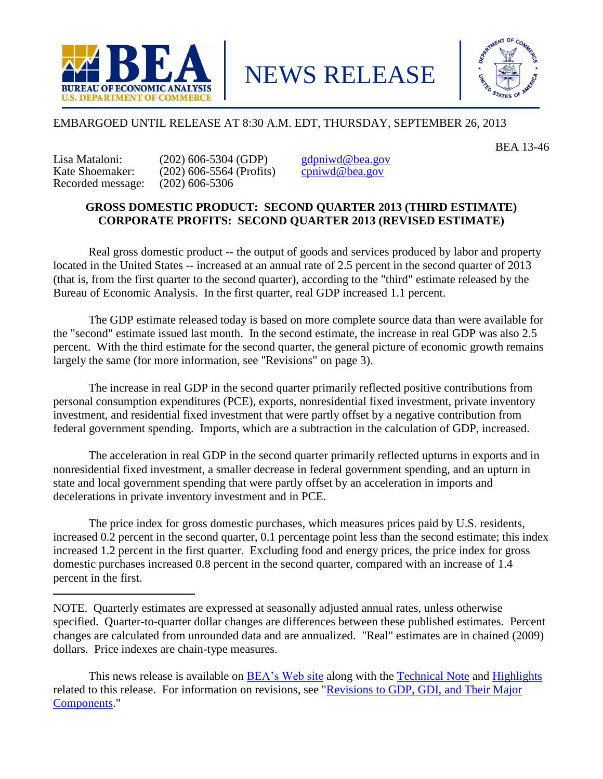

NEWS RELEASE



# EMBARGOED UNTIL RELEASE AT 8:30 A.M. EDT, THURSDAY, SEPTEMBER 26, 2013

BEA 13-46

Recorded message: (202) 606-5306

Lisa Mataloni: (202) 606-5304 (GDP)  $\frac{\text{gdpniwd}\textcircled{e} \text{bea.gov}}{\text{State Shoemaker:}}$  (202) 606-5564 (Profits) conjugalea.gov  $(202)$  606-5564 (Profits)

# **GROSS DOMESTIC PRODUCT: SECOND QUARTER 2013 (THIRD ESTIMATE) CORPORATE PROFITS: SECOND QUARTER 2013 (REVISED ESTIMATE)**

Real gross domestic product -- the output of goods and services produced by labor and property located in the United States -- increased at an annual rate of 2.5 percent in the second quarter of 2013 (that is, from the first quarter to the second quarter), according to the "third" estimate released by the Bureau of Economic Analysis. In the first quarter, real GDP increased 1.1 percent.

The GDP estimate released today is based on more complete source data than were available for the "second" estimate issued last month. In the second estimate, the increase in real GDP was also 2.5 percent. With the third estimate for the second quarter, the general picture of economic growth remains largely the same (for more information, see "Revisions" on page 3).

The increase in real GDP in the second quarter primarily reflected positive contributions from personal consumption expenditures (PCE), exports, nonresidential fixed investment, private inventory investment, and residential fixed investment that were partly offset by a negative contribution from federal government spending. Imports, which are a subtraction in the calculation of GDP, increased.

The acceleration in real GDP in the second quarter primarily reflected upturns in exports and in nonresidential fixed investment, a smaller decrease in federal government spending, and an upturn in state and local government spending that were partly offset by an acceleration in imports and decelerations in private inventory investment and in PCE.

The price index for gross domestic purchases, which measures prices paid by U.S. residents, increased 0.2 percent in the second quarter, 0.1 percentage point less than the second estimate; this index increased 1.2 percent in the first quarter. Excluding food and energy prices, the price index for gross domestic purchases increased 0.8 percent in the second quarter, compared with an increase of 1.4 percent in the first.

NOTE. Quarterly estimates are expressed at seasonally adjusted annual rates, unless otherwise specified. Quarter-to-quarter dollar changes are differences between these published estimates. Percent changes are calculated from unrounded data and are annualized. "Real" estimates are in chained (2009) dollars. Price indexes are chain-type measures.

This news release is available on **BEA**'s Web site along with the **Technical Note and [Highlights](http://www.bea.gov/newsreleases/national/gdp/2013/pdf/gdp2q13_3rd_fax.pdf)** related to this release. For information on revisions, see ["Revisions to GDP, GDI, and Their Major](http://www.bea.gov/scb/pdf/2011/07%20July/0711_revisions.pdf)  [Components.](http://www.bea.gov/scb/pdf/2011/07%20July/0711_revisions.pdf)"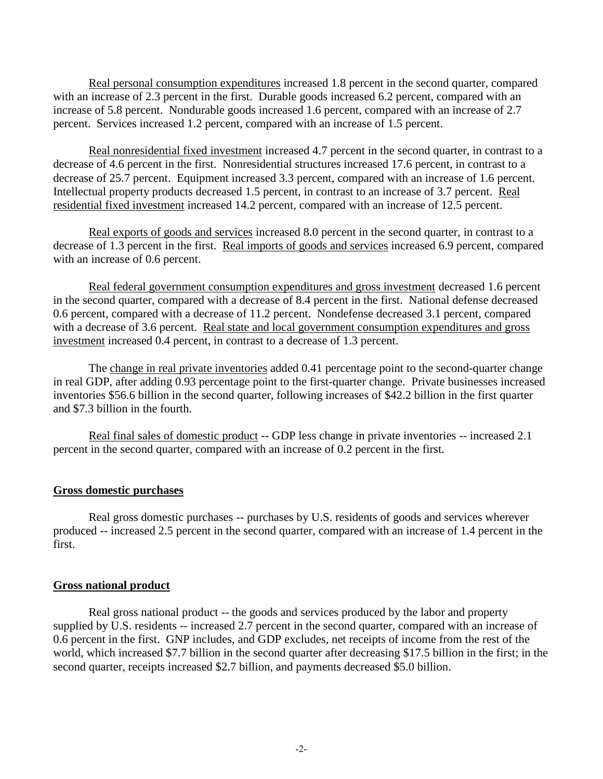Real personal consumption expenditures increased 1.8 percent in the second quarter, compared with an increase of 2.3 percent in the first. Durable goods increased 6.2 percent, compared with an increase of 5.8 percent. Nondurable goods increased 1.6 percent, compared with an increase of 2.7 percent. Services increased 1.2 percent, compared with an increase of 1.5 percent.

Real nonresidential fixed investment increased 4.7 percent in the second quarter, in contrast to a decrease of 4.6 percent in the first. Nonresidential structures increased 17.6 percent, in contrast to a decrease of 25.7 percent. Equipment increased 3.3 percent, compared with an increase of 1.6 percent. Intellectual property products decreased 1.5 percent, in contrast to an increase of 3.7 percent. Real residential fixed investment increased 14.2 percent, compared with an increase of 12.5 percent.

Real exports of goods and services increased 8.0 percent in the second quarter, in contrast to a decrease of 1.3 percent in the first. Real imports of goods and services increased 6.9 percent, compared with an increase of 0.6 percent.

Real federal government consumption expenditures and gross investment decreased 1.6 percent in the second quarter, compared with a decrease of 8.4 percent in the first. National defense decreased 0.6 percent, compared with a decrease of 11.2 percent. Nondefense decreased 3.1 percent, compared with a decrease of 3.6 percent. Real state and local government consumption expenditures and gross investment increased 0.4 percent, in contrast to a decrease of 1.3 percent.

The change in real private inventories added 0.41 percentage point to the second-quarter change in real GDP, after adding 0.93 percentage point to the first-quarter change. Private businesses increased inventories \$56.6 billion in the second quarter, following increases of \$42.2 billion in the first quarter and \$7.3 billion in the fourth.

Real final sales of domestic product -- GDP less change in private inventories -- increased 2.1 percent in the second quarter, compared with an increase of 0.2 percent in the first.

### **Gross domestic purchases**

Real gross domestic purchases -- purchases by U.S. residents of goods and services wherever produced -- increased 2.5 percent in the second quarter, compared with an increase of 1.4 percent in the first.

#### **Gross national product**

Real gross national product -- the goods and services produced by the labor and property supplied by U.S. residents -- increased 2.7 percent in the second quarter, compared with an increase of 0.6 percent in the first. GNP includes, and GDP excludes, net receipts of income from the rest of the world, which increased \$7.7 billion in the second quarter after decreasing \$17.5 billion in the first; in the second quarter, receipts increased \$2.7 billion, and payments decreased \$5.0 billion.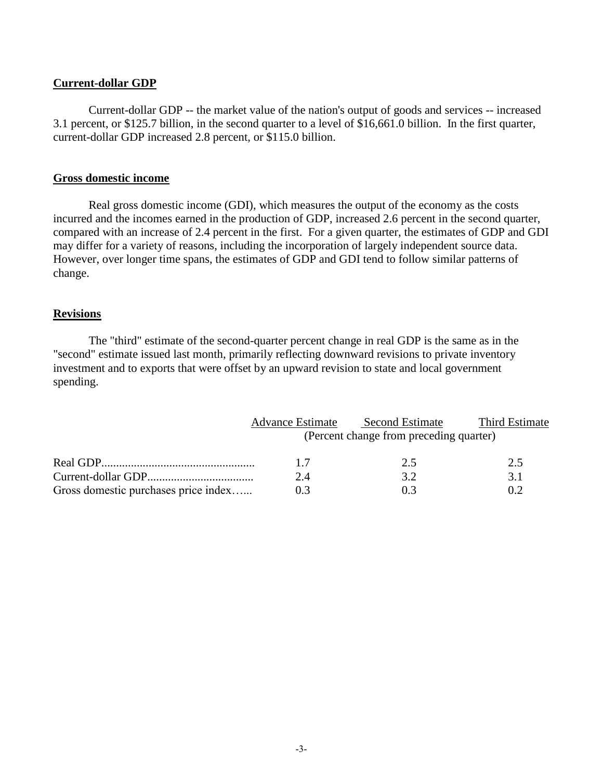## **Current-dollar GDP**

Current-dollar GDP -- the market value of the nation's output of goods and services -- increased 3.1 percent, or \$125.7 billion, in the second quarter to a level of \$16,661.0 billion. In the first quarter, current-dollar GDP increased 2.8 percent, or \$115.0 billion.

## **Gross domestic income**

Real gross domestic income (GDI), which measures the output of the economy as the costs incurred and the incomes earned in the production of GDP, increased 2.6 percent in the second quarter, compared with an increase of 2.4 percent in the first. For a given quarter, the estimates of GDP and GDI may differ for a variety of reasons, including the incorporation of largely independent source data. However, over longer time spans, the estimates of GDP and GDI tend to follow similar patterns of change.

## **Revisions**

The "third" estimate of the second-quarter percent change in real GDP is the same as in the "second" estimate issued last month, primarily reflecting downward revisions to private inventory investment and to exports that were offset by an upward revision to state and local government spending.

|                                      | <b>Advance Estimate</b> | <b>Second Estimate</b>                  | Third Estimate |
|--------------------------------------|-------------------------|-----------------------------------------|----------------|
|                                      |                         | (Percent change from preceding quarter) |                |
|                                      | 17                      | 2.5                                     | 2.5            |
|                                      | 2.4                     | 32                                      | 3.1            |
| Gross domestic purchases price index | 03                      |                                         | 02             |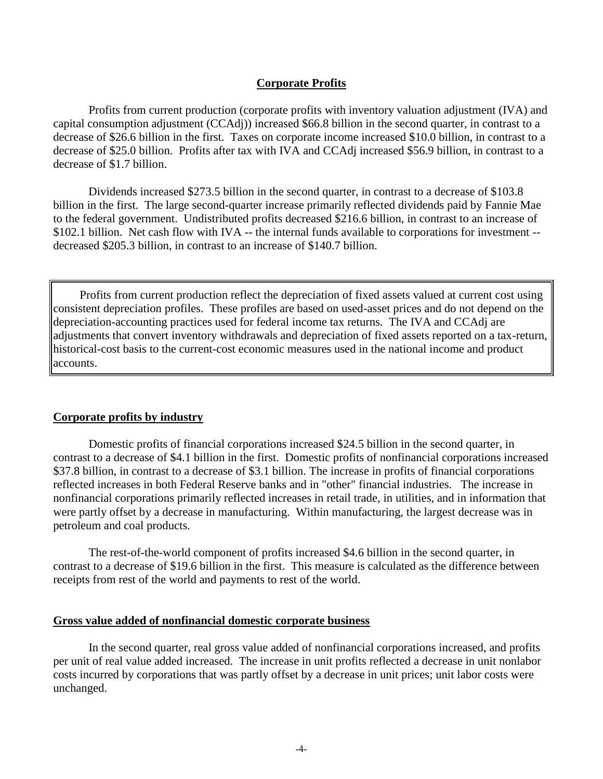# **Corporate Profits**

Profits from current production (corporate profits with inventory valuation adjustment (IVA) and capital consumption adjustment (CCAdj)) increased \$66.8 billion in the second quarter, in contrast to a decrease of \$26.6 billion in the first. Taxes on corporate income increased \$10.0 billion, in contrast to a decrease of \$25.0 billion. Profits after tax with IVA and CCAdj increased \$56.9 billion, in contrast to a decrease of \$1.7 billion.

Dividends increased \$273.5 billion in the second quarter, in contrast to a decrease of \$103.8 billion in the first. The large second-quarter increase primarily reflected dividends paid by Fannie Mae to the federal government. Undistributed profits decreased \$216.6 billion, in contrast to an increase of \$102.1 billion. Net cash flow with IVA -- the internal funds available to corporations for investment -decreased \$205.3 billion, in contrast to an increase of \$140.7 billion.

Profits from current production reflect the depreciation of fixed assets valued at current cost using consistent depreciation profiles. These profiles are based on used-asset prices and do not depend on the depreciation-accounting practices used for federal income tax returns. The IVA and CCAdj are adjustments that convert inventory withdrawals and depreciation of fixed assets reported on a tax-return, historical-cost basis to the current-cost economic measures used in the national income and product accounts.

## **Corporate profits by industry**

Domestic profits of financial corporations increased \$24.5 billion in the second quarter, in contrast to a decrease of \$4.1 billion in the first. Domestic profits of nonfinancial corporations increased \$37.8 billion, in contrast to a decrease of \$3.1 billion. The increase in profits of financial corporations reflected increases in both Federal Reserve banks and in "other" financial industries. The increase in nonfinancial corporations primarily reflected increases in retail trade, in utilities, and in information that were partly offset by a decrease in manufacturing. Within manufacturing, the largest decrease was in petroleum and coal products.

The rest-of-the-world component of profits increased \$4.6 billion in the second quarter, in contrast to a decrease of \$19.6 billion in the first. This measure is calculated as the difference between receipts from rest of the world and payments to rest of the world.

#### **Gross value added of nonfinancial domestic corporate business**

In the second quarter, real gross value added of nonfinancial corporations increased, and profits per unit of real value added increased. The increase in unit profits reflected a decrease in unit nonlabor costs incurred by corporations that was partly offset by a decrease in unit prices; unit labor costs were unchanged.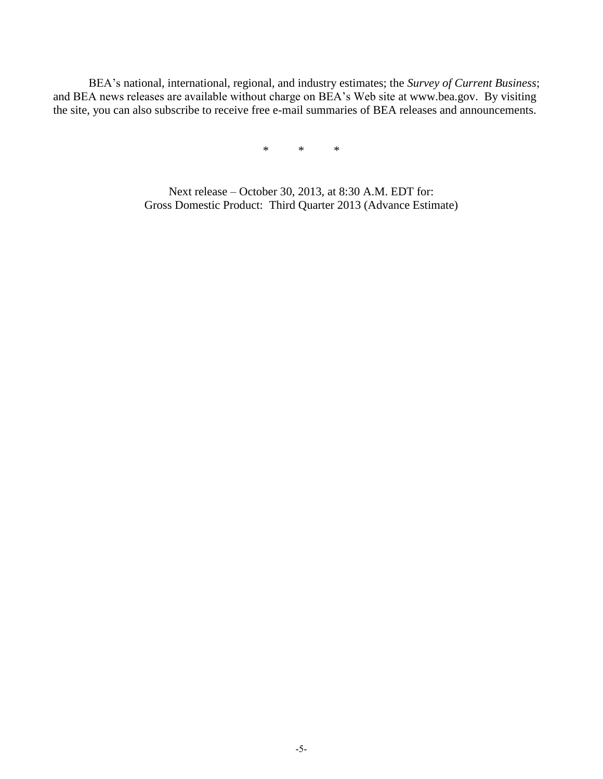BEA's national, international, regional, and industry estimates; the *Survey of Current Business*; and BEA news releases are available without charge on BEA's Web site at www.bea.gov. By visiting the site, you can also subscribe to receive free e-mail summaries of BEA releases and announcements.

\* \* \*

Next release – October 30, 2013, at 8:30 A.M. EDT for: Gross Domestic Product: Third Quarter 2013 (Advance Estimate)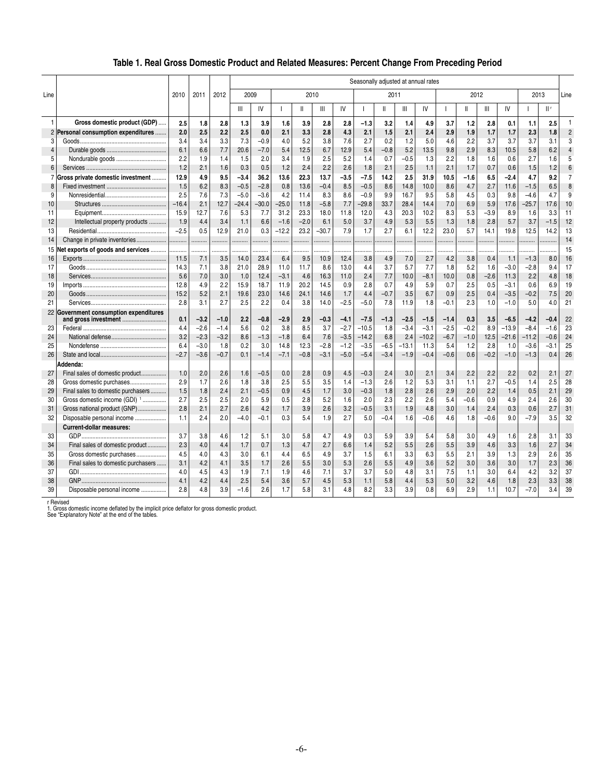# **Table 1. Real Gross Domestic Product and Related Measures: Percent Change From Preceding Period**

|                |                                                                |             |            | Seasonally adjusted at annual rates |             |             |             |              |              |               |               |               |             |            |               |               |            |                  |               |            |                |
|----------------|----------------------------------------------------------------|-------------|------------|-------------------------------------|-------------|-------------|-------------|--------------|--------------|---------------|---------------|---------------|-------------|------------|---------------|---------------|------------|------------------|---------------|------------|----------------|
| Line           |                                                                | 2010        | 2011       | 2012                                | 2009        |             |             | 2010         |              |               |               | 2011          |             |            |               | 2012          |            |                  | 2013          |            | Line           |
|                |                                                                |             |            |                                     | Ш           | IV          |             | $\mathsf{I}$ | Ш            | IV            |               | Ш             | Ш           | IV         |               | Ш             | Ш          | IV               |               |            |                |
| 1              | Gross domestic product (GDP)                                   | 2.5         | 1.8        | 2.8                                 | 1.3         | 3.9         | 1.6         | 3.9          | 2.8          | 2.8           | $-1.3$        | 3.2           | 1.4         | 4.9        | 3.7           | 1.2           | 2.8        | 0.1              | 1.1           | 2.5        | $\mathbf{1}$   |
| $\overline{2}$ | Personal consumption expenditures                              | 2.0         | 2.5        | 2.2                                 | 2.5         | 0.0         | 2.1         | 3.3          | 2.8          | 4.3           | 2.1           | 1.5           | 2.1         | 2.4        | 2.9           | 1.9           | 1.7        | 1.7              | 2.3           | 1.8        | $\overline{2}$ |
| 3              |                                                                | 3.4         | 3.4        | 3.3                                 | 7.3         | $-0.9$      | 4.0         | 5.2          | 3.8          | 7.6           | 2.7           | 0.2           | 1.2         | 5.0        | 4.6           | 2.2           | 3.7        | 3.7              | 3.7           | 3.1        | 3              |
| $\overline{4}$ |                                                                | 6.1         | 6.6        | 7.7                                 | 20.6        | $-7.0$      | 5.4         | 12.5         | 6.7          | 12.9          | 5.4           | $-0.8$        | 5.2         | 13.5       | 9.8           | 2.9           | 8.3        | 10.5             | 5.8           | 6.2        | $\overline{4}$ |
| 5              |                                                                | 2.2         | 1.9        | 1.4                                 | 1.5         | 2.0         | 3.4         | 1.9          | 2.5          | 5.2           | 1.4           | 0.7           | $-0.5$      | 1.3        | 2.2           | 1.8           | 1.6        | 0.6              | 2.7           | 1.6        | 5              |
| 6              |                                                                | 1.2         | 2.1        | 1.6                                 | 0.3         | 0.5         | 1.2         | 2.4          | 2.2          | 2.6           | 1.8           | 2.1           | 2.5         | 1.1        | 2.1           | 1.7           | 0.7        | 0.6              | 1.5           | 1.2        | 6              |
| $\overline{7}$ | Gross private domestic investment                              | 12.9        | 4.9        | 9.5                                 | $-3.4$      | 36.2        | 13.6        | 22.3         | 13.7         | $-3.5$        | $-7.5$        | 14.2          | 2.5         | 31.9       | 10.5          | $-1.6$        | 6.5        | $-2.4$           | 4.7           | 9.2        | $\overline{7}$ |
| 8              |                                                                | 1.5         | 6.2        | 8.3                                 | $-0.5$      | $-2.8$      | 0.8         | 13.6         | $-0.4$       | 8.5           | $-0.5$        | 8.6           | 14.8        | 10.0       | 8.6           | 4.7           | 2.7        | 11.6             | $-1.5$        | 6.5        | 8              |
| 9              |                                                                | 2.5         | 7.6        | 7.3                                 | $-5.0$      | $-3.6$      | 4.2         | 11.4         | 8.3          | 8.6           | $-0.9$        | 9.9           | 16.7        | 9.5        | 5.8           | 4.5           | 0.3        | 9.8              | $-4.6$        | 4.7        | 9              |
| 10             |                                                                | $-16.4$     | 2.1        | 12.7                                | $-24.4$     | $-30.0$     | $-25.0$     | 11.8         | $-5.8$       | 7.7           | $-29.8$       | 33.7          | 28.4        | 14.4       | 7.0           | 6.9           | 5.9        | 17.6             | $-25.7$       | 17.6       | 10             |
| 11             |                                                                | 15.9        | 12.7       | 7.6                                 | 5.3         | 7.7         | 31.2        | 23.3         | 18.0         | 11.8          | 12.0          | 4.3           | 20.3        | 10.2       | 8.3           | 5.3           | $-3.9$     | 8.9              | 1.6           | 3.3        | 11             |
| 12             | Intellectual property products                                 | 1.9         | 4.4        | 3.4                                 | 1.1         | 6.6         | $-1.6$      | $-2.0$       | 6.1          | 5.0           | 3.7           | 4.9           | 5.3         | 5.5        | 1.3           | 1.8           | 2.8        | 5.7              | 3.7           | $-1.5$     | 12             |
| 13             |                                                                | $-2.5$      | 0.5        | 12.9                                | 21.0        | 0.3         | $-12.2$     | 23.2         | $-30.7$      | 7.9           | 1.7           | 2.7           | 6.1         | 12.2       | 23.0          | 5.7           | 14.1       | 19.8             | 12.5          | 14.2       | 13             |
| 14             | Change in private inventories                                  | .           | .          | .                                   |             | .           | .           | .            | .            |               |               | .             | .           | .          | .             | .             | .          | .                |               |            | 14             |
| 15             | Net exports of goods and services                              | .           | .          | .                                   |             | .           | .           |              |              |               |               |               |             | .          |               | .             |            |                  |               |            | 15             |
| 16             |                                                                | 11.5        | 7.1        | 3.5                                 | 14.0        | 23.4        | 6.4         | 9.5          | 10.9         | 12.4          | 3.8           | 4.9           | 7.0         | 2.7        | 4.2           | 3.8           | 0.4        | 1.1              | $-1.3$        | 8.0        | 16             |
| 17             |                                                                | 14.3        | 7.1        | 3.8                                 | 21.0        | 28.9        | 11.0        | 11.7         | 8.6          | 13.0          | 4.4           | 3.7           | 5.7         | 7.7        | 1.8           | 5.2           | 1.6        | $-3.0$           | $-2.8$        | 9.4        | 17             |
| 18             |                                                                | 5.6         | 7.0        | 3.0<br>2.2                          | 1.0         | 12.4        | $-3.1$      | 4.6          | 16.3         | 11.0          | 2.4<br>2.8    | 7.7           | 10.0        | $-8.1$     | 10.0          | 0.8<br>2.5    | $-2.6$     | 11.3             | 2.2           | 4.8        | 18             |
| 19             |                                                                | 12.8        | 4.9        |                                     | 15.9        | 18.7        | 11.9        | 20.2         | 14.5         | 0.9           |               | 0.7           | 4.9         | 5.9        | 0.7           |               | 0.5        | $-3.1$           | 0.6           | 6.9        | 19<br>20       |
| 20<br>21       |                                                                | 15.2<br>2.8 | 5.2<br>3.1 | 2.1<br>2.7                          | 19.6<br>2.5 | 23.0<br>2.2 | 14.6<br>0.4 | 24.1<br>3.8  | 14.6<br>14.0 | 1.7<br>$-2.5$ | 4.4<br>$-5.0$ | $-0.7$<br>7.8 | 3.5<br>11.9 | 6.7<br>1.8 | 0.9<br>$-0.1$ | 2.5<br>2.3    | 0.4<br>1.0 | $-3.5$<br>$-1.0$ | $-0.2$<br>5.0 | 7.5<br>4.0 | 21             |
|                |                                                                |             |            |                                     |             |             |             |              |              |               |               |               |             |            |               |               |            |                  |               |            |                |
|                | 22 Government consumption expenditures<br>and gross investment | 0.1         | $-3.2$     | $-1.0$                              | 2.2         | $-0.8$      | $-2.9$      | 2.9          | $-0.3$       | $-4.1$        | $-7.5$        | $-1.3$        | $-2.5$      | $-1.5$     | $-1.4$        | 0.3           | 3.5        | $-6.5$           | $-4.2$        | $-0.4$     | 22             |
| 23             |                                                                | 4.4         | $-2.6$     | $-1.4$                              | 5.6         | 0.2         | 3.8         | 8.5          | 3.7          | $-2.7$        | $-10.5$       | 1.8           | $-3.4$      | $-3.1$     | $-2.5$        | $-0.2$        | 8.9        | $-13.9$          | $-8.4$        | $-1.6$     | 23             |
| 24             |                                                                | 3.2         | $-2.3$     | $-3.2$                              | 8.6         | $-1.3$      | $-1.8$      | 6.4          | 7.6          | $-3.5$        | $-14.2$       | 6.8           | 2.4         | $-10.2$    | $-6.7$        | $-1.0$        | 12.5       | $-21.6$          | $-11.2$       | $-0.6$     | 24             |
| 25             |                                                                | 6.4         | $-3.0$     | 1.8                                 | 0.2         | 3.0         | 14.8        | 12.3         | $-2.8$       | $-1.2$        | $-3.5$        | $-6.5$        | $-13.1$     | 11.3       | 5.4           | 1.2           | 2.8        | 1.0              | $-3.6$        | $-3.1$     | 25             |
| 26             |                                                                | $-2.7$      | $-3.6$     | $-0.7$                              | 0.1         | $-1.4$      | $-7.1$      | $-0.8$       | $-3.1$       | $-5.0$        | $-5.4$        | $-3.4$        | $-1.9$      | $-0.4$     | $-0.6$        | 0.6           | $-0.2$     | $-1.0$           | $-1.3$        | 0.4        | 26             |
|                | Addenda:                                                       |             |            |                                     |             |             |             |              |              |               |               |               |             |            |               |               |            |                  |               |            |                |
| 27             | Final sales of domestic product                                | 1.0         | 2.0        | 2.6                                 | 1.6         | $-0.5$      | 0.0         | 2.8          | 0.9          | 4.5           | $-0.3$        | 2.4           | 3.0         | 2.1        | 3.4           | 2.2           | 2.2        | 2.2              | 0.2           | 2.1        | 27             |
| 28             | Gross domestic purchases                                       | 2.9         | 1.7        | 2.6                                 | 1.8         | 3.8         | 2.5         | 5.5          | 3.5          | 1.4           | $-1.3$        | 2.6           | 1.2         | 5.3        | 3.1           | 1.1           | 2.7        | $-0.5$           | 1.4           | 2.5        | 28             |
| 29             | Final sales to domestic purchasers                             | 1.5         | 1.8        | 2.4                                 | 2.1         | $-0.5$      | 0.9         | 4.5          | 1.7          | 3.0           | $-0.3$        | 1.8           | 2.8         | 2.6        | 2.9           | 2.0           | 2.2        | 1.4              | 0.5           | 2.1        | 29             |
| 30<br>31       | Gross domestic income (GDI) 1<br>Gross national product (GNP)  | 2.7<br>2.8  | 2.5<br>2.1 | 2.5<br>2.7                          | 2.0<br>2.6  | 5.9<br>4.2  | 0.5<br>1.7  | 2.8<br>3.9   | 5.2<br>2.6   | 1.6<br>3.2    | 2.0<br>$-0.5$ | 2.3<br>3.1    | 2.2<br>1.9  | 2.6<br>4.8 | 5.4<br>3.0    | $-0.6$<br>1.4 | 0.9<br>2.4 | 4.9<br>0.3       | 2.4           | 2.6<br>2.7 | 30<br>31       |
| 32             | Disposable personal income                                     | 1.1         | 2.4        | 2.0                                 | $-4.0$      | $-0.1$      | 0.3         | 5.4          | 1.9          | 2.7           | 5.0           | $-0.4$        | 1.6         | $-0.6$     | 4.6           | 1.8           | $-0.6$     | 9.0              | 0.6<br>$-7.9$ | 3.5        | 32             |
|                |                                                                |             |            |                                     |             |             |             |              |              |               |               |               |             |            |               |               |            |                  |               |            |                |
|                | <b>Current-dollar measures:</b>                                | 3.7         | 3.8        | 4.6                                 | 1.2         | 5.1         | 3.0         | 5.8          | 4.7          | 4.9           | 0.3           | 5.9           | 3.9         |            | 5.8           | 3.0           | 4.9        | 1.6              | 2.8           | 3.1        | 33             |
| 33<br>34       | Final sales of domestic product                                | 2.3         | 4.0        | 4.4                                 | 1.7         | 0.7         | 1.3         | 4.7          | 2.7          | 6.6           | 1.4           | 5.2           | 5.5         | 5.4<br>2.6 | 5.5           | 3.9           | 4.6        | 3.3              | 1.6           | 2.7        | 34             |
| 35             | Gross domestic purchases                                       | 4.5         | 4.0        | 4.3                                 | 3.0         | 6.1         | 4.4         | 6.5          | 4.9          | 3.7           | 1.5           | 6.1           | 3.3         | 6.3        | 5.5           | 2.1           | 3.9        | 1.3              | 2.9           | 2.6        | 35             |
| 36             | Final sales to domestic purchasers                             | 3.1         | 4.2        | 4.1                                 | 3.5         | 1.7         | 2.6         | 5.5          | 3.0          | 5.3           | 2.6           | 5.5           | 4.9         | 3.6        | 5.2           | 3.0           | 3.6        | 3.0              | 1.7           | 2.3        | 36             |
| 37             |                                                                | 4.0         | 4.5        | 4.3                                 | 1.9         | 7.1         | 1.9         | 4.6          | 7.1          | 3.7           | 3.7           | 5.0           | 4.8         | 3.1        | 7.5           | 1.1           | 3.0        | 6.4              | 4.2           | 3.2        | 37             |
| 38             |                                                                | 4.1         | 4.2        | 4.4                                 | 2.5         | 5.4         | 3.6         | 5.7          | 4.5          | 5.3           | 1.1           | 5.8           | 4.4         | 5.3        | 5.0           | 3.2           | 4.6        | 1.8              | 2.3           | 3.3        | 38             |
| 39             | Disposable personal income                                     | 2.8         | 4.8        | 3.9                                 | $-1.6$      | 2.6         | 1.7         | 5.8          | 3.1          | 4.8           | 8.2           | 3.3           | 3.9         | 0.8        | 6.9           | 2.9           | 1.1        | 10.7             | $-7.0$        | 3.4        | 39             |
|                |                                                                |             |            |                                     |             |             |             |              |              |               |               |               |             |            |               |               |            |                  |               |            |                |

r Revised 1. Gross domestic income deflated by the implicit price deflator for gross domestic product. See "Explanatory Note" at the end of the tables.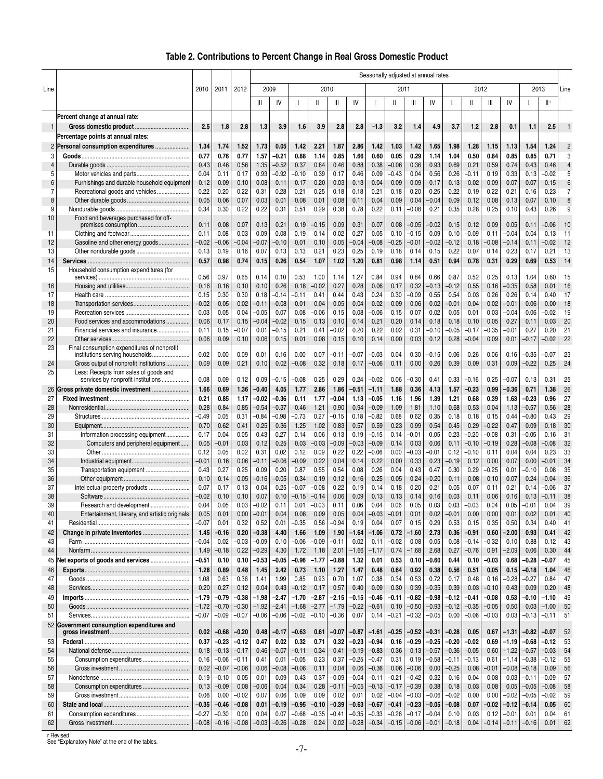# **Table 2. Contributions to Percent Change in Real Gross Domestic Product**

|                |                                                                                |                    |                    | Seasonally adjusted at annual rates |                    |                    |                    |                    |                    |                 |                    |                 |                    |                    |                 |                    |                    |                 |                    |                    |                |
|----------------|--------------------------------------------------------------------------------|--------------------|--------------------|-------------------------------------|--------------------|--------------------|--------------------|--------------------|--------------------|-----------------|--------------------|-----------------|--------------------|--------------------|-----------------|--------------------|--------------------|-----------------|--------------------|--------------------|----------------|
| Line           |                                                                                | 2010               | 2011               | 2012                                | 2009               |                    |                    |                    | 2010               |                 |                    | 2011            |                    |                    |                 |                    | 2012               |                 | 2013               |                    | Line           |
|                |                                                                                |                    |                    |                                     | Ш                  | IV                 | $\overline{1}$     | Ш                  | $\mathsf{III}$     | IV              | $\mathbf{I}$       | Ш               | Ш                  | IV                 |                 | $\mathbf{I}$       | Ш                  | IV              |                    | I۲                 |                |
|                |                                                                                |                    |                    |                                     |                    |                    |                    |                    |                    |                 |                    |                 |                    |                    |                 |                    |                    |                 |                    |                    |                |
| 1              | Percent change at annual rate:                                                 | 2.5                | 1.8                | 2.8                                 | 1.3                | 3.9                | 1.6                | 3.9                | 2.8                | 2.8             | $-1.3$             | 3.2             | 1.4                | 4.9                | 3.7             | 1.2                | 2.8                | 0.1             | 1.1                | 2.5                | $\mathbf{1}$   |
|                | Percentage points at annual rates:                                             |                    |                    |                                     |                    |                    |                    |                    |                    |                 |                    |                 |                    |                    |                 |                    |                    |                 |                    |                    |                |
|                | 2 Personal consumption expenditures                                            | 1.34               | 1.74               | 1.52                                | 1.73               | 0.05               | 1.42               | 2.21               | 1.87               | 2.86            | 1.42               | 1.03            | 1.42               | 1.65               | 1.98            | 1.28               | 1.15               | 1.13            | 1.54               | 1.24               | $\overline{2}$ |
| 3              |                                                                                | 0.77               | 0.76               | 0.77                                | 1.57               | -0.21              | 0.88               | 1.14               | 0.85               | 1.66            | 0.60               | 0.05            | 0.29               | 1.14               | 1.04            | 0.50               | 0.84               | 0.85            | 0.85               | 0.71               | 3              |
| 4              |                                                                                | 0.43               | 0.46               | 0.56                                | 1.35               | $-0.52$            | 0.37               | 0.84               | 0.46               | 0.88            | 0.38               | $-0.06$         | 0.36               | 0.93               | 0.69            | 0.21               | 0.59               | 0.74            | 0.43               | 0.46               | 4              |
| 5              |                                                                                | 0.04               | 0.11               | 0.17                                | 0.93               | $-0.92$            | -0.10              | 0.39               | 0.17               | 0.46            | 0.09               | $-0.43$         | 0.04               | 0.56               | 0.26            | $-0.11$            | 0.19               | 0.33            | 0.13               | $-0.02$            | 5              |
| 6              | Furnishings and durable household equipment                                    | 0.12               | 0.09               | 0.10                                | 0.08               | 0.11               | 0.17               | 0.20               | 0.03               | 0.13            | 0.04               | 0.09            | 0.09               | 0.17               | 0.13            | 0.02               | 0.09               | 0.07            | 0.07               | 0.15               | 6              |
| $\overline{7}$ | Recreational goods and vehicles                                                | 0.22               | 0.20               | 0.22                                | 0.31               | 0.28               | 0.21               | 0.25               | 0.18               | 0.18            | 0.21               | 0.18            | 0.20               | 0.25               | 0.22            | 0.19               | 0.22               | 0.21            | 0.16               | 0.23               | 7              |
| 8<br>9         |                                                                                | 0.05<br>0.34       | 0.06<br>0.30       | 0.07<br>0.22                        | 0.03<br>0.22       | 0.01<br>0.31       | 0.08<br>0.51       | 0.01<br>0.29       | 0.08<br>0.38       | 0.11<br>0.78    | 0.04<br>0.22       | 0.09<br>0.11    | 0.04<br>$-0.08$    | $-0.04$<br>0.21    | 0.09<br>0.35    | 0.12<br>0.28       | 0.08<br>0.25       | 0.13<br>0.10    | 0.07<br>0.43       | 0.10<br>0.26       | 8<br>9         |
| 10             | Food and beverages purchased for off-                                          |                    |                    |                                     |                    |                    |                    |                    |                    |                 |                    |                 |                    |                    |                 |                    |                    |                 |                    |                    |                |
|                | premises consumption                                                           | 0.11               | 0.08               | 0.07                                | 0.13               | 0.21               | 0.19               | -0.15              | 0.09               | 0.31            | 0.07               | 0.08            | -0.05              | $-0.02$            | 0.15            | 0.12               | 0.09               | 0.05            | 0.11               | $-0.06$            | 10             |
| 11             |                                                                                | 0.11               | 0.08               | 0.03                                | 0.09               | 0.08               | 0.19               | 0.14               | 0.02               | 0.27            | 0.05               | 0.10            | $-0.15$            | 0.09               | 0.10            | $-0.09$            | 0.11               | $-0.04$         | 0.04               | 0.13               | 11             |
| 12<br>13       | Gasoline and other energy goods                                                | $-0.02$<br>0.13    | $-0.06$<br>0.19    | 0.04<br>0.16                        | $-0.07$<br>0.07    | $-0.10$<br>0.13    | 0.01<br>0.13       | 0.10<br>0.21       | 0.05<br>0.23       | $-0.04$<br>0.25 | $-0.08$<br>0.19    | $-0.25$<br>0.18 | $-0.01$<br>0.14    | $-0.02$<br>0.15    | $-0.12$<br>0.22 | 0.18<br>0.07       | -0.08<br>0.14      | $-0.14$<br>0.23 | 0.11<br>0.17       | $-0.02$<br>0.21    | 12<br>13       |
| 14             |                                                                                | 0.57               | 0.98               | 0.74                                | 0.15               | 0.26               | 0.54               | 1.07               | 1.02               | 1.20            | 0.81               | 0.98            | 1.14               | 0.51               | 0.94            | 0.78               | 0.31               | 0.29            | 0.69               | 0.53               | 14             |
| 15             | Household consumption expenditures (for                                        |                    |                    |                                     |                    |                    |                    |                    |                    |                 |                    |                 |                    |                    |                 |                    |                    |                 |                    |                    |                |
|                |                                                                                | 0.56               | 0.97               | 0.65                                | 0.14               | 0.10               | 0.53               | 1.00               | 1.14               | 1.27            | 0.84               | 0.94            | 0.84               | 0.66               | 0.87            | 0.52               | 0.25               | 0.13            | 1.04               | 0.60               | 15             |
| 16             |                                                                                | 0.16               | 0.16               | 0.10                                | 0.10               | 0.26               | 0.18               | $-0.02$            | 0.27               | 0.28            | 0.06               | 0.17            | 0.32               | $-0.13$            | $-0.12$         | 0.55               | 0.16               | $-0.35$         | 0.58               | 0.01               | 16             |
| 17<br>18       |                                                                                | 0.15<br>$-0.02$    | 0.30<br>0.05       | 0.30<br>0.02                        | 0.18<br>$-0.11$    | $-0.14$<br>$-0.08$ | -0.11<br>0.01      | 0.41<br>0.04       | 0.44<br>0.05       | 0.43<br>0.04    | 0.24<br>0.02       | 0.30<br>0.09    | $-0.09$<br>0.06    | 0.55<br>0.02       | 0.54<br>$-0.01$ | 0.03<br>0.04       | 0.26<br>0.02       | 0.26<br>$-0.01$ | 0.14<br>0.06       | 0.40<br>0.00       | 17<br>18       |
| 19             |                                                                                | 0.03               | 0.05               | 0.04                                | $-0.05$            | 0.07               | 0.08               | -0.06              | 0.15               | 0.08            | -0.06              | 0.15            | 0.07               | 0.02               | 0.05            | 0.01               | 0.03               | -0.04           | 0.06               | $-0.02$            | 19             |
| 20             | Food services and accommodations                                               | 0.06               | 0.17               | 0.15                                | $-0.04$            | $-0.02$            | 0.15               | 0.13               | 0.10               | 0.14            | 0.21               | 0.20            | 0.14               | 0.18               | 0.18            | 0.10               | 0.05               | 0.27            | 0.11               | 0.03               | 20             |
| 21             | Financial services and insurance                                               | 0.11               | 0.15               | -0.07                               | 0.01               | -0.15              | 0.21               | 0.41               | -0.02              | 0.20            | 0.22               | 0.02            | 0.31               | -0.10              | -0.05           | -0.17              | -0.35              | $-0.01$         | 0.27               | 0.20               | 21             |
| 22             |                                                                                | 0.06               | 0.09               | 0.10                                | 0.06               | 0.15               | 0.01               | 0.08               | 0.15               | 0.10            | 0.14               | 0.00            | 0.03               | 0.12               | 0.28            | $-0.04$            | 0.09               | 0.01            | $-0.17$            | $-0.02$            | 22             |
| 23             | Final consumption expenditures of nonprofit<br>institutions serving households | 0.02               | 0.00               | 0.09                                | 0.01               | 0.16               | 0.00               | 0.07               | -0.11              | -0.07           | -0.03              | 0.04            | 0.30               | -0.15              | 0.06            | 0.26               | 0.06               | 0.16            | -0.35              | $-0.07$            | 23             |
| 24             | Gross output of nonprofit institutions                                         | 0.09               | 0.09               | 0.21                                | 0.10               | 0.02               | $-0.08$            | 0.32               | 0.18               | 0.17            | $-0.06$            | 0.11            | 0.00               | 0.26               | 0.39            | 0.09               | 0.31               | 0.09            | $-0.22$            | 0.25               | 24             |
| 25             | Less: Receipts from sales of goods and                                         |                    |                    |                                     |                    |                    |                    |                    |                    |                 |                    |                 |                    |                    |                 |                    |                    |                 |                    |                    |                |
|                | services by nonprofit institutions                                             | 0.08               | 0.09               | 0.12                                | 0.09               | $-0.15$            | -0.08              | 0.25               | 0.29               | 0.24            | $-0.02$            | 0.06            | $-0.30$            | 0.41               | 0.33            | $-0.16$            | 0.25               | $-0.07$         | 0.13               | 0.31               | 25             |
| 26             | Gross private domestic investment                                              | 1.66               | 0.69               | 1.36                                | $-0.40$            | 4.05               | 1.77               | 2.86               | 1.86               | $-0.51$         | -1.11              | 1.88            | 0.36               | 4.13               | 1.57            | -0.23              | 0.99               | -0.36           | 0.71               | 1.38               | 26             |
| 27             |                                                                                | 0.21               | 0.85               | 1.17                                | $-0.02$            | -0.36              | 0.11               | 1.77               | $-0.04$            | 1.13            | -0.05              | 1.16            | 1.96               | 1.39               | 1.21            | 0.68               | 0.39               | 1.63            | -0.23              | 0.96               | 27             |
| 28<br>29       |                                                                                | 0.28<br>$-0.49$    | 0.84<br>0.05       | 0.85<br>0.31                        | $-0.54$<br>$-0.84$ | $-0.37$<br>$-0.98$ | 0.46<br>-0.73      | 1.21<br>0.27       | 0.90<br>$-0.15$    | 0.94<br>0.18    | $-0.09$<br>$-0.82$ | 1.09<br>0.68    | 1.81<br>0.62       | 1.10<br>0.35       | 0.68<br>0.18    | 0.53<br>0.18       | 0.04<br>0.15       | 1.13<br>0.44    | $-0.57$<br>$-0.80$ | 0.56<br>0.43       | 28<br>29       |
| 30             |                                                                                | 0.70               | 0.62               | 0.41                                | 0.25               | 0.36               | 1.25               | 1.02               | 0.83               | 0.57            | 0.59               | 0.23            | 0.99               | 0.54               | 0.45            | 0.29               | $-0.22$            | 0.47            | 0.09               | 0.18               | 30             |
| 31             | Information processing equipment                                               | 0.17               | 0.04               | 0.05                                | 0.43               | 0.27               | 0.14               | 0.06               | 0.13               | 0.19            | $-0.15$            | 0.14            | $-0.01$            | 0.05               | 0.23            | $-0.20$            | $-0.08$            | 0.31            | $-0.05$            | 0.16               | 31             |
| 32             | Computers and peripheral equipment                                             | 0.05               | $-0.01$            | 0.03                                | 0.12               | 0.25               | 0.03               | $-0.03$            | $-0.09$            | $-0.03$         | $-0.09$            | 0.14            | 0.03               | 0.06               | 0.11            | $-0.10$            | $-0.19$            | 0.28            | $-0.08$            | $-0.08$            | 32             |
| 33             |                                                                                | 0.12               | 0.05               | 0.02                                | 0.31               | 0.02               | 0.12               | 0.09               | 0.22               | 0.22            | $-0.06$            | 0.00            | $-0.03$            | $-0.01$            | 0.12            | $-0.10$            | 0.11               | 0.04            | 0.04               | 0.23               | 33             |
| 34             |                                                                                | $-0.01$            | 0.16               | 0.06                                | $-0.11$            | $-0.06$            | $-0.09$            | 0.22               | 0.04               | 0.14            | 0.22               | 0.00            | 0.33               | 0.23               | $-0.19$         | 0.12               | 0.00               | 0.07            | 0.00               | $-0.01$            | 34             |
| 35<br>36       | Transportation equipment                                                       | 0.43<br>0.10       | 0.27<br>0.14       | 0.25<br>0.05                        | 0.09<br>$-0.16$    | 0.20<br>$-0.05$    | 0.87<br>0.34       | 0.55<br>0.19       | 0.54<br>0.12       | 0.08<br>0.16    | 0.26<br>0.25       | 0.04<br>0.05    | 0.43<br>0.24       | 0.47<br>$-0.20$    | 0.30<br>0.11    | 0.29<br>0.08       | $-0.25$<br>0.10    | 0.01<br>0.07    | $-0.10$<br>0.24    | 0.08<br>$-0.04$    | 35<br>36       |
| 37             | Intellectual property products                                                 | 0.07               | 0.17               | 0.13                                | 0.04               | 0.25               | $-0.07$            | $-0.08$            | 0.22               | 0.19            | 0.14               | 0.18            | 0.20               | 0.21               | 0.05            | 0.07               | 0.11               | 0.21            | 0.14               | $-0.06$            | 37             |
| 38             |                                                                                | $-0.02$            | 0.10               | 0.10                                | 0.07               | 0.10               | $-0.15$            | $-0.14$            | 0.06               | 0.09            | 0.13               | 0.13            | 0.14               | 0.16               | 0.03            | 0.11               | 0.06               | 0.16            | 0.13               | $-0.11$            | 38             |
| 39             |                                                                                | 0.04               | 0.05               | 0.03                                | $-0.02$            | 0.11               | 0.01               | $-0.03$            | 0.11               | 0.06            | 0.04               | 0.06            | 0.05               | 0.03               | 0.03            | $-0.03$            | 0.04               | 0.05            | $-0.01$            | 0.04               | 39             |
| 40             | Entertainment, literary, and artistic originals                                | 0.05               | 0.01               | 0.00                                | $-0.01$            | 0.04               | 0.08               | 0.09               | 0.05               | 0.04            | -0.03              | $-0.01$         | 0.01               | 0.02               | $-0.01$         | 0.00               | 0.00               | 0.01            | 0.02               | 0.01               | 40             |
| 41             |                                                                                | $-0.07$            | 0.01               | 0.32                                | 0.52               | 0.01               | $-0.35$            | 0.56               | $-0.94$            | 0.19            | 0.04               | 0.07            | 0.15               | 0.29               | 0.53            | 0.15               | 0.35               | 0.50            | 0.34               | 0.40               | 41             |
| 42<br>43       | Change in private inventories                                                  | 1.45<br>$-0.04$    | -0.16<br>0.02      | 0.20<br>$-0.03$                     | $-0.38$<br>$-0.09$ | 4.40<br>0.10       | 1.66<br>-0.06      | 1.09<br>$-0.09$    | 1.90<br>$-0.11$    | $-1.64$<br>0.02 | $-1.06$<br>0.11    | 0.72<br>$-0.02$ | $-1.60$<br>0.08    | 2.73<br>0.05       | 0.36<br>0.08    | $-0.91$<br>$-0.14$ | 0.60<br>$-0.32$    | $-2.00$<br>0.10 | 0.93<br>0.88       | 0.41<br>0.12       | 42<br>43       |
| 44             |                                                                                | 1.49               | $-0.18$            | 0.22                                | $-0.29$            | 4.30               | 1.72               | 1.18               | 2.01               | $-1.66$         | $-1.17$            | 0.74            | $-1.68$            | 2.68               | 0.27            | $-0.76$            | 0.91               | $-2.09$         | 0.06               | 0.30               | 44             |
| 45             | Net exports of goods and services                                              | -0.51              | 0.10               | 0.10                                | $-0.53$            | -0.05              | -0.96              | $-1.77$            | -0.88              | 1.32            | 0.01               | 0.53            | 0.10               | -0.60              | 0.44            | 0.10               | -0.03              | 0.68            | -0.28              | -0.07              | 45             |
| 46             |                                                                                | 1.28               | 0.89               | 0.48                                | 1.45               | 2.42               | 0.73               | 1.10               | 1.27               | 1.47            | 0.48               | 0.64            | 0.92               | 0.38               | 0.56            | 0.51               | 0.05               | 0.15            | $-0.18$            | 1.04               | 46             |
| 47             |                                                                                | 1.08               | 0.63               | 0.36                                | 1.41               | 1.99               | 0.85               | 0.93               | 0.70               | 1.07            | 0.38               | 0.34            | 0.53               | 0.72               | 0.17            | 0.48               | 0.16               | -0.28           | -0.27              | 0.84               | 47             |
| 48             |                                                                                | 0.20               | 0.27               | 0.12                                | 0.04               | 0.43               | $-0.12$            | 0.17               | 0.57               | 0.40            | 0.09               | 0.30            | 0.39               | $-0.35$            | 0.39            | 0.03               | $-0.10$            | 0.43            | 0.09               | 0.20               | 48             |
| 49             |                                                                                | $-1.79$            | -0.79              | -0.38                               | $-1.98$            | -2.47              | -1.70              | $-2.87$            | $-2.15$            | -0.15           | -0.46              | $-0.11$         | -0.82              | -0.98              | $-0.12$         | $-0.41$            | $-0.08$            | 0.53            | -0.10              | -1.10              | 49             |
| 50<br>51       |                                                                                | $-1.72$<br>$-0.07$ | $-0.70$<br>$-0.09$ | $-0.30$<br>$-0.07$                  | $-1.92$<br>$-0.06$ | $-2.41$<br>$-0.06$ | $-1.68$<br>$-0.02$ | $-2.77$<br>$-0.10$ | $-1.79$<br>$-0.36$ | $-0.22$<br>0.07 | -0.61<br>0.14      | 0.10<br>$-0.21$ | $-0.50$<br>$-0.32$ | $-0.93$<br>$-0.05$ | $-0.12$<br>0.00 | $-0.35$<br>$-0.06$ | $-0.05$<br>$-0.03$ | 0.50<br>0.03    | 0.03<br>$-0.13$    | $-1.00$<br>$-0.11$ | 50<br>51       |
|                | 52 Government consumption expenditures and                                     |                    |                    |                                     |                    |                    |                    |                    |                    |                 |                    |                 |                    |                    |                 |                    |                    |                 |                    |                    |                |
|                |                                                                                | 0.02               | $-0.68$            | $-0.20$                             | 0.48               | -0.17              | -0.63              | 0.61               | $-0.07$            | -0.87           | -1.61              | $-0.25$         | -0.52              | -0.31              | $-0.28$         | 0.05               | 0.67               | -1.31           | $-0.82$            | $-0.07$            | 52             |
| 53             |                                                                                | 0.37               | $-0.23$            | $-0.12$                             | 0.47               | 0.02               | 0.32               | 0.71               | 0.32               | $-0.23$         | $-0.94$            | 0.16            | $-0.29$            | -0.25              | $-0.20$         | -0.02              | 0.69               | $-1.19$         | -0.68              | $-0.12$            | 53             |
| 54             |                                                                                | 0.18               | $-0.13$            | $-0.17$                             | 0.46               | $-0.07$            | $-0.11$            | 0.34               | 0.41               | $-0.19$         | $-0.83$            | 0.36            | 0.13               | $-0.57$            | $-0.36$         | $-0.05$            | 0.60               | $-1.22$         | $-0.57$            | $-0.03$            | 54             |
| 55             | Consumption expenditures                                                       | 0.16               | $-0.06$            | $-0.11$                             | 0.41               | 0.01               | -0.05              | 0.23               | 0.37               | $-0.25$         | $-0.47$            | 0.31            | 0.19               | $-0.58$            | $-0.11$         | $-0.13$            | 0.61               | $-1.14$         | $-0.38$            | $-0.12$            | 55             |
| 56<br>57       |                                                                                | 0.02<br>0.19       | $-0.07$<br>$-0.10$ | $-0.06$<br>0.05                     | 0.06<br>0.01       | $-0.08$<br>0.09    | -0.06<br>0.43      | 0.11<br>0.37       | 0.04<br>$-0.09$    | 0.06<br>$-0.04$ | $-0.36$<br>$-0.11$ | 0.06<br>$-0.21$ | $-0.06$<br>$-0.42$ | 0.00<br>0.32       | $-0.25$<br>0.16 | 0.08<br>0.04       | -0.01<br>0.08      | $-0.08$<br>0.03 | $-0.18$<br>$-0.11$ | 0.09<br>-0.09      | 56<br>57       |
| 58             | Consumption expenditures                                                       | 0.13               | $-0.09$            | 0.08                                | $-0.06$            | 0.04               | 0.34               | 0.28               | $-0.11$            | $-0.05$         | $-0.13$            | $-0.17$         | $-0.39$            | 0.38               | 0.18            | 0.03               | 0.08               | 0.05            | $-0.05$            | $-0.08$            | 58             |
| 59             |                                                                                | 0.06               | 0.00               | -0.02                               | 0.07               | 0.06               | 0.09               | 0.09               | 0.02               | 0.01            | 0.02               | $-0.04$         | $-0.03$            | -0.06              | $-0.02$         | 0.00               | 0.00               | $-0.02$         | $-0.05$            | $-0.02$            | 59             |
| 60             |                                                                                | $-0.35$            | $-0.46$            | -0.08                               | 0.01               | -0.19              | -0.95              | $-0.10$            | $-0.39$            | $-0.63$         | $-0.67$            | $-0.41$         | $-0.23$            | $-0.05$            | $-0.08$         | 0.07               | $-0.02$            | $-0.12$         | $-0.14$            | 0.05               | 60             |
| 61             |                                                                                | -0.27              | $-0.30$            | 0.00                                | 0.04               | 0.07               | -0.68              | $-0.35$            | -0.41              | $-0.35$         | $-0.33$            | $-0.26$         | $-0.17$            | -0.04              | 0.10            | 0.03               | 0.12               | $-0.01$         | 0.01               | 0.04               | 61             |
| 62             |                                                                                | $-0.08$            | $-0.16$            | $-0.08$                             | $-0.03$            | $-0.26$            | $-0.28$            | 0.24               | 0.02               | $-0.28$         | $-0.34$            | $-0.15$         | $-0.06$            | $-0.01$            | $-0.18$         | 0.04               | $-0.14$            | $-0.11$         | $-0.16$            | 0.01               | 62             |

r Revised See "Explanatory Note" at the end of the tables.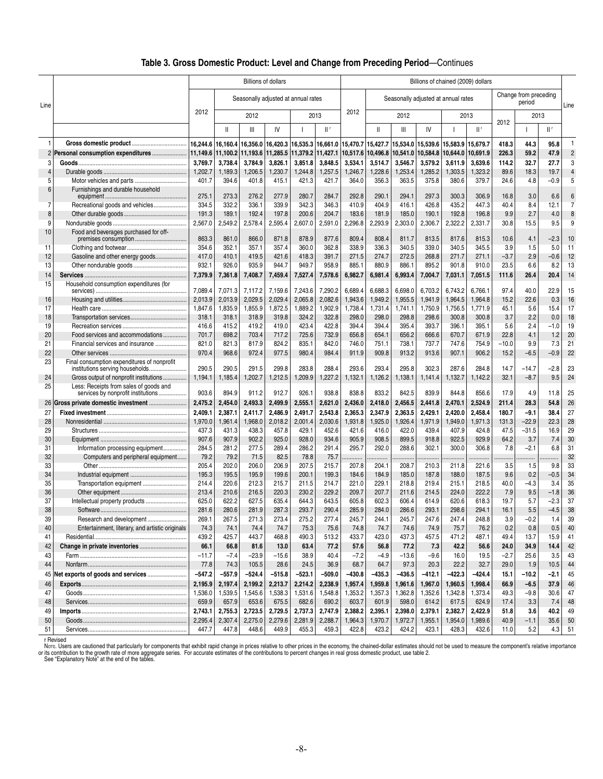### **Table 3. Gross Domestic Product: Level and Change from Preceding Period**—Continues

|                |                                                 |                | <b>Billions of dollars</b> |                                     |                |                |                |                |                |                |                | Billions of chained (2009) dollars  |                |            |                                 |               |                |
|----------------|-------------------------------------------------|----------------|----------------------------|-------------------------------------|----------------|----------------|----------------|----------------|----------------|----------------|----------------|-------------------------------------|----------------|------------|---------------------------------|---------------|----------------|
| Line           |                                                 |                |                            | Seasonally adjusted at annual rates |                |                |                |                |                |                |                | Seasonally adjusted at annual rates |                |            | Change from preceding<br>period |               | Line           |
|                |                                                 | 2012           |                            | 2012                                |                |                | 2013           | 2012           |                | 2012           |                | 2013                                |                | 2012       | 2013                            |               |                |
|                |                                                 |                | Ш                          | Ш                                   | I۷             |                | II۰            |                | Ш              | Ш              | IV             |                                     | $\mathbb{H}^r$ |            |                                 | Шf            |                |
| 1              |                                                 | 16,244.6       | 16,160.4                   | 16,356.0                            | 16,420.3       | 16,535.3       | 16,661.0       | 15,470.7       | 15,427.7       | 15,534.0       | 15,539.6       | 15,583.9                            | 15,679.7       | 418.3      | 44.3                            | 95.8          | 1              |
|                | 2 Personal consumption expenditures             | 11,149.6       |                            | 11,100.2 11,193.6                   | 11,285.5       | 11,379.2       | 11,427.1       | 10,517.6       | 10,496.8       | 10,541.0       | 10,584.8       | 10,644.0                            | 10,691.9       | 226.3      | 59.2                            | 47.9          | $\overline{c}$ |
| 3              |                                                 | 3,769.7        | 3,738.4                    | 3,784.9                             | 3,826.1        | 3,851.8        | 3,848.5        | 3,534.1        | 3,514.7        | 3,546.7        | 3,579.2        | 3,611.9                             | 3,639.6        | 114.2      | 32.7                            | 27.7          | 3              |
| $\overline{4}$ |                                                 | 1,202.7        | 1,189.3                    | 1,206.5                             | 1,230.7        | 1,244.8        | 1,257.5        | 1,246.7        | 1,228.6        | 1,253.4        | 1,285.2        | 1,303.5                             | 1,323.2        | 89.6       | 18.3                            | 19.7          | $\overline{4}$ |
| 5              |                                                 | 401.7          | 394.6                      | 401.8                               | 415.1          | 421.3          | 421.7          | 364.0          | 356.3          | 363.5          | 375.8          | 380.6                               | 379.7          | 24.6       | 4.8                             | $-0.9$        | 5              |
| 6              | Furnishings and durable household               | 275.1          | 273.3                      | 276.2                               | 277.9          | 280.7          | 284.7          | 292.8          | 290.1          | 294.1          | 297.3          | 300.3                               | 306.9          | 16.8       | 3.0                             | 6.6           | 6              |
| 7              | Recreational goods and vehicles                 | 334.5          | 332.2                      | 336.1                               | 339.9          | 342.3          | 346.3          | 410.9          | 404.9          | 416.1          | 426.8          | 435.2                               | 447.3          | 40.4       | 8.4                             | 12.1          | $\overline{7}$ |
| 8              |                                                 | 191.3          | 189.1                      | 192.4                               | 197.8          | 200.6          | 204.7          | 183.6          | 181.9          | 185.0          | 190.1          | 192.8                               | 196.8          | 9.9        | 2.7                             | 4.0           | 8              |
| 9              |                                                 | 2,567.0        | 2,549.2                    | 2,578.4                             | 2,595.4        | 2,607.0        | 2,591.0        | 2,296.8        | 2,293.9        | 2,303.0        | 2,306.7        | 2,322.2                             | 2,331.7        | 30.8       | 15.5                            | 9.5           | 9              |
| 10             | Food and beverages purchased for off-           |                |                            |                                     |                |                |                |                |                |                |                |                                     |                |            |                                 |               |                |
|                | premises consumption                            | 863.3          | 861.0                      | 866.0                               | 871.8          | 878.9          | 877.6          | 809.4          | 808.4          | 811.7          | 813.5          | 817.6                               | 815.3          | 10.6       | 4.1                             | $-2.3$        | 10             |
| 11             |                                                 | 354.6          | 352.1                      | 357.1                               | 357.4          | 360.0          | 362.8          | 338.9          | 336.3          | 340.5          | 339.0          | 340.5                               | 345.5          | 3.9        | 1.5                             | 5.0           | 11             |
| 12             | Gasoline and other energy goods                 | 417.0          | 410.1                      | 419.5                               | 421.6          | 418.3          | 391.7          | 271.5          | 274.7          | 272.5          | 268.8          | 271.7                               | 271.1          | $-3.7$     | 2.9                             | $-0.6$        | 12             |
| 13             |                                                 | 932.1          | 926.0                      | 935.9                               | 944.7          | 949.7          | 958.9          | 885.1          | 880.9          | 886.1          | 895.2          | 901.8                               | 910.0          | 23.5       | 6.6                             | 8.2           | 13             |
| 14             |                                                 | 7,379.9        | 7,361.8                    | 7,408.7                             | 7,459.4        | 7,527.4        | 7,578.6        | 6,982.7        | 6,981.4        | 6,993.4        | 7,004.7        | 7,031.1                             | 7,051.5        | 111.6      | 26.4                            | 20.4          | 14             |
| 15             | Household consumption expenditures (for         |                |                            |                                     |                |                |                |                |                |                |                |                                     |                |            |                                 |               |                |
|                |                                                 | 7,089.4        | 7,071.3                    | 7,117.2                             | 7,159.6        | 7,243.6        | 7,290.2        | 6,689.4        | 6,688.3        | 6,698.0        | 6,703.2        | 6,743.2                             | 6,766.1        | 97.4       | 40.0                            | 22.9          | 15             |
| 16             |                                                 | 2,013.9        | 2.013.9                    | 2,029.5                             | 2,029.4        | 2,065.8        | 2,082.6        | 1,943.6        | 1,949.2        | 1,955.5        | 1,941.9        | 1,964.5                             | 1,964.8        | 15.2       | 22.6                            | 0.3           | 16             |
| 17             |                                                 | 1,847.6        | 1,835.9                    | 1,855.9                             | 1,872.5        | 1,889.2        | 1,902.9        | 1,738.4        | 1,731.4        | 1,741.1        | 1,750.9        | 1,756.5                             | 1,771.9        | 45.1       | 5.6<br>2.2                      | 15.4          | 17<br>18       |
| 18<br>19       |                                                 | 318.1<br>416.6 | 318.1<br>415.2             | 318.9<br>419.2                      | 319.8<br>419.0 | 324.2<br>423.4 | 322.8<br>422.8 | 298.0<br>394.4 | 298.0<br>394.4 | 298.8<br>395.4 | 298.6<br>393.7 | 300.8<br>396.1                      | 300.8<br>395.1 | 3.7<br>5.6 | 2.4                             | 0.0<br>$-1.0$ | 19             |
| 20             | Food services and accommodations                | 701.7          | 698.2                      | 703.4                               | 717.2          | 725.6          | 732.9          | 656.8          | 654.1          | 656.2          | 666.6          | 670.7                               | 671.9          | 22.8       | 4.1                             | 1.2           | 20             |
| 21             | Financial services and insurance                | 821.0          | 821.3                      | 817.9                               | 824.2          | 835.1          | 842.0          | 746.0          | 751.1          | 738.1          | 737.7          | 747.6                               | 754.9          | $-10.0$    | 9.9                             | 7.3           | 21             |
| 22             |                                                 | 970.4          | 968.6                      | 972.4                               | 977.5          | 980.4          | 984.4          | 911.9          | 909.8          | 913.2          | 913.6          | 907.1                               | 906.2          | 15.2       | $-6.5$                          | $-0.9$        | 22             |
| 23             | Final consumption expenditures of nonprofit     |                |                            |                                     |                |                |                |                |                |                |                |                                     |                |            |                                 |               |                |
|                | institutions serving households                 | 290.5          | 290.5                      | 291.5                               | 299.8          | 283.8          | 288.4          | 293.6          | 293.4          | 295.8          | 302.3          | 287.6                               | 284.8          | 14.7       | $-14.7$                         | $-2.8$        | 23             |
| 24             | Gross output of nonprofit institutions          | 1,194.1        | 1,185.4                    | 1,202.7                             | 1,212.5        | 1,209.9        | 1,227.2        | 1,132.1        | 1,126.2        | 1,138.1        | 1,141.4        | 1,132.7                             | 1,142.2        | 32.1       | $-8.7$                          | 9.5           | 24             |
| 25             | Less: Receipts from sales of goods and          |                |                            |                                     |                |                |                |                |                |                |                |                                     |                |            |                                 |               |                |
|                | services by nonprofit institutions              | 903.6          | 894.9                      | 911.2                               | 912.7          | 926.1          | 938.8          | 838.8          | 833.2          | 842.5          | 839.9          | 844.8                               | 856.6          | 17.9       | 4.9                             | 11.8          | 25             |
|                |                                                 | 2,475.2        | 2,454.0                    | 2,493.3                             | 2,499.9        | 2,555.1        | 2,621.0        | 2,436.0        | 2,418.0        | 2,456.5        | 2,441.8        | 2,470.1                             | 2,524.9        | 211.4      | 28.3                            | 54.8          | 26             |
| 27             |                                                 | 2,409.1        | 2,387.1                    | 2,411.7                             | 2,486.9        | 2,491.7        | 2,543.8        | 2,365.3        | 2,347.9        | 2,363.5        | 2,429.1        | 2,420.0                             | 2,458.4        | 180.7      | -9.1                            | 38.4          | 27             |
| 28             |                                                 | 1,970.0        | 1,961.4                    | 1,968.0                             | 2,018.2        | 2,001.4        | 2,030.6        | 1,931.8        | 1,925.0        | 1,926.4        | 1,971.9        | 1,949.0                             | 1,971.3        | 131.3      | $-22.9$                         | 22.3          | 28             |
| 29             |                                                 | 437.3          | 431.3                      | 438.3                               | 457.8          | 429.1          | 452.6          | 421.6          | 416.0          | 422.0          | 439.4          | 407.9                               | 424.8          | 47.5       | $-31.5$                         | 16.9          | 29             |
| 30             |                                                 | 907.6          | 907.9                      | 902.2                               | 925.0          | 928.0          | 934.6          | 905.9          | 908.5          | 899.5          | 918.8          | 922.5                               | 929.9          | 64.2       | 3.7                             | 7.4           | 30             |
| 31             | Information processing equipment                | 284.5          | 281.2                      | 277.5                               | 289.4          | 286.2          | 291.4          | 295.7          | 292.0          | 288.6          | 302.1          | 300.0                               | 306.8          | 7.8        | $-2.1$                          | 6.8           | 31             |
| 32             | Computers and peripheral equipment              | 79.2<br>205.4  | 79.2<br>202.0              | 71.5<br>206.0                       | 82.5<br>206.9  | 78.8<br>207.5  | 75.7<br>215.7  | <br>207.8      | .<br>204.1     |                | <br>210.3      |                                     |                | .          | 1.5                             |               | 32<br>33       |
| 33<br>34       |                                                 | 195.3          | 195.5                      | 195.9                               | 199.6          | 200.1          | 199.3          | 184.6          | 184.9          | 208.7<br>185.0 | 187.8          | 211.8<br>188.0                      | 221.6<br>187.5 | 3.5<br>9.6 | 0.2                             | 9.8<br>$-0.5$ | 34             |
| 35             | Transportation equipment                        | 214.4          | 220.6                      | 212.3                               | 215.7          | 211.5          | 214.7          | 221.0          | 229.1          | 218.8          | 219.4          | 215.1                               | 218.5          | 40.0       | $-4.3$                          | 3.4           | 35             |
| 36             |                                                 | 213.4          | 210.6                      | 216.5                               | 220.3          | 230.2          | 229.2          | 209.7          | 207.7          | 211.6          | 214.5          | 224.0                               | 222.2          | 7.9        | 9.5                             | $-1.8$        | 36             |
| 37             | Intellectual property products                  | 625.0          | 622.2                      | 627.5                               | 635.4          | 644.3          | 643.5          | 605.8          | 602.3          | 606.4          | 614.9          | 620.6                               | 618.3          | 19.7       | 5.7                             | $-2.3$        | 37             |
| 38             |                                                 | 281.6          | 280.6                      | 281.9                               | 287.3          | 293.7          | 290.4          | 285.9          | 284.0          | 286.6          | 293.1          | 298.6                               | 294.1          | 16.1       | 5.5                             | $-4.5$        | 38             |
| 39             | Research and development                        | 269.1          | 267.5                      | 271.3                               | 273.4          | 275.2          | 277.4          | 245.7          | 244.1          | 245.7          | 247.6          | 247.4                               | 248.8          | 3.9        | $-0.2$                          | 1.4           | 39             |
| 40             | Entertainment, literary, and artistic originals | 74.3           | 74.1                       | 74.4                                | 74.7           | 75.3           | 75.6           | 74.8           | 74.7           | 74.6           | 74.9           | 75.7                                | 76.2           | 0.2        | 0.8                             | 0.5           | 40             |
| 41             |                                                 | 439.2          | 425.7                      | 443.7                               | 468.8          | 490.3          | 513.2          | 433.7          | 423.0          | 437.3          | 457.5          | 471.2                               | 487.1          | 49.4       | 13.7                            | 15.9          | 41             |
| 42             |                                                 | 66.1           | 66.8                       | 81.6                                | 13.0           | 63.4           | 77.2           | 57.6           | 56.8           | 77.2           | 7.3            | 42.2                                | 56.6           | 24.0       | 34.9                            | 14.4          | 42             |
| 43             |                                                 | $-11.7$        | $-7.4$                     | $-23.9$                             | $-15.6$        | 38.9           | 40.4           | $-7.2$         | $-4.9$         | $-13.6$        | $-9.6$         | 16.0                                | 19.5           | -2.7       | 25.6                            | 3.5           | 43             |
| 44             |                                                 | 77.8           | 74.3                       | 105.5                               | 28.6           | 24.5           | 36.9           | 68.7           | 64.7           | 97.3           | 20.3           | 22.2                                | 32.7           | 29.0       | 1.9                             | 10.5          | 44             |
| 45             | Net exports of goods and services               | $-547.2$       | $-557.9$                   | $-524.4$                            | $-515.8$       | $-523.1$       | $-509.0$       | $-430.8$       | $-435.3$       | $-436.5$       | $-412.1$       | $-422.3$                            | $-424.4$       | 15.1       | $-10.2$                         | $-2.1$        | 45             |
| 46             |                                                 | 2,195.9        | 2,197.4                    | 2,199.2                             | 2,213.7        | 2,214.2        | 2,238.9        | 1,957.4        | 1,959.8        | 1,961.6        | 1,967.0        | 1,960.5                             | 1,998.4        | 66.9       | $-6.5$                          | 37.9          | 46             |
| 47             |                                                 | 1,536.0        | 1,539.5                    | 1,545.6                             | 1,538.3        | 1,531.6        | 1,548.8        | 1,353.2        | 1,357.3        | 1,362.8        | 1,352.6        | 1,342.8                             | 1,373.4        | 49.3       | $-9.8$                          | 30.6          | 47             |
| 48             |                                                 | 659.9          | 657.9                      | 653.6                               | 675.5          | 682.6          | 690.2          | 603.7          | 601.9          | 598.0          | 614.2          | 617.5                               | 624.9          | 17.4       | 3.3                             | 7.4           | 48             |
| 49             |                                                 | 2,743.1        | 2,755.3                    | 2,723.5                             | 2,729.5        | 2,737.3        | 2,747.9        | 2,388.2        | 2,395.1        | 2,398.0        | 2,379.1        | 2,382.7                             | 2,422.9        | 51.8       | 3.6                             | 40.2          | 49             |
| 50             |                                                 | 2,295.4        | 2,307.4                    | 2,275.0                             | 2,279.6        | 2,281.9        | 2,288.7        | 1,964.3        | 1,970.7        | 1,972.7        | 1,955.1        | 1,954.0                             | 1,989.6        | 40.9       | $-1.1$                          | 35.6          | 50             |
| 51             |                                                 | 447.7          | 447.8                      | 448.6                               | 449.9          | 455.3          | 459.3          | 422.8          | 423.2          | 424.2          | 423.1          | 428.3                               | 432.6          | 11.0       | 5.2                             | 4.3           | 51             |
|                |                                                 |                |                            |                                     |                |                |                |                |                |                |                |                                     |                |            |                                 |               |                |

r Revised<br>Nore. Users are cautioned that particularly for components that exhibit rapid change in prices relative to other prices in the economy, the chained-dollar estimates should not be used to measure the component's r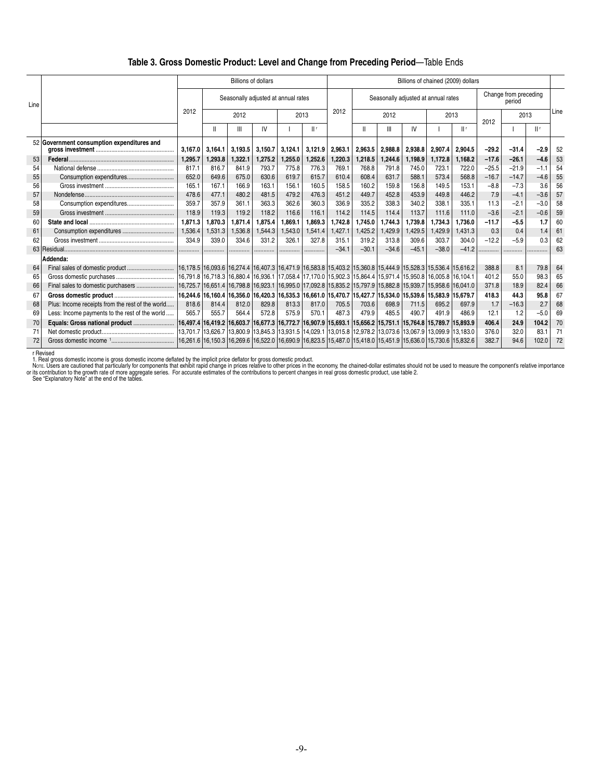### **Table 3. Gross Domestic Product: Level and Change from Preceding Period**—Table Ends

|      |                                                  |          |         | <b>Billions of dollars</b>                                                                                                        |         |         |         |         |         |         |                                     |         | Billions of chained (2009) dollars |         |                                 |        |      |
|------|--------------------------------------------------|----------|---------|-----------------------------------------------------------------------------------------------------------------------------------|---------|---------|---------|---------|---------|---------|-------------------------------------|---------|------------------------------------|---------|---------------------------------|--------|------|
| Line |                                                  |          |         | Seasonally adjusted at annual rates                                                                                               |         |         |         |         |         |         | Seasonally adjusted at annual rates |         |                                    |         | Change from preceding<br>period |        |      |
|      |                                                  | 2012     |         | 2012                                                                                                                              |         | 2013    |         | 2012    |         | 2012    |                                     |         | 2013                               | 2012    | 2013                            |        | Line |
|      |                                                  |          |         | Ш                                                                                                                                 | IV      |         | Шr      |         |         | Ш       | IV                                  |         | II r                               |         |                                 | Шr     |      |
|      | 52 Government consumption expenditures and       | 3,167.0  | 3,164.1 | 3,193.5                                                                                                                           | 3,150.7 | 3,124.1 | 3,121.9 | 2,963.1 | 2,963.5 | 2,988.8 | 2,938.8                             | 2,907.4 | 2,904.5                            | $-29.2$ | $-31.4$                         | $-2.9$ | 52   |
| 53   |                                                  | 1,295.7  | 1,293.8 | 1,322.1                                                                                                                           | 1,275.2 | 1,255.0 | 1,252.6 | 1,220.3 | 1,218.5 | 1,244.6 | 1,198.9                             | 1,172.8 | 1,168.2                            | $-17.6$ | $-26.1$                         | $-4.6$ | 53   |
| 54   |                                                  | 817.1    | 816.7   | 841.9                                                                                                                             | 793.7   | 775.8   | 776.3   | 769.1   | 768.8   | 791.8   | 745.0                               | 723.1   | 722.0                              | $-25.5$ | $-21.9$                         | $-1.1$ | 54   |
| 55   |                                                  | 652.0    | 649.6   | 675.0                                                                                                                             | 630.6   | 619.7   | 615.7   | 610.4   | 608.4   | 631.7   | 588.1                               | 573.4   | 568.8                              | $-16.7$ | $-14.7$                         | $-4.6$ | 55   |
| 56   |                                                  | 165.1    | 167.1   | 166.9                                                                                                                             | 163.1   | 156.1   | 160.5   | 158.5   | 160.2   | 159.8   | 156.8                               | 149.5   | 153.1                              | $-8.8$  | $-7.3$                          | 3.6    | 56   |
| 57   |                                                  | 478.6    | 477.1   | 480.2                                                                                                                             | 481.5   | 479.2   | 476.3   | 451.2   | 449.7   | 452.8   | 453.9                               | 449.8   | 446.2                              | 7.9     | $-4.1$                          | $-3.6$ | 57   |
| 58   | Consumption expenditures                         | 359.7    | 357.9   | 361.1                                                                                                                             | 363.3   | 362.6   | 360.3   | 336.9   | 335.2   | 338.3   | 340.2                               | 338.1   | 335.1                              | 11.3    | $-2.1$                          | $-3.0$ | 58   |
| 59   |                                                  | 118.9    | 119.3   | 119.2                                                                                                                             | 118.2   | 116.6   | 116.1   | 114.2   | 114.5   | 114.4   | 113.7                               | 111.6   | 111.0                              | $-3.6$  | $-2.1$                          | $-0.6$ | 59   |
| 60   |                                                  | 1,871.3  | 1,870.3 | 1,871.4                                                                                                                           | 1,875.4 | 1.869.1 | 1,869.3 | 1,742.8 | 1,745.0 | 1,744.3 | 1,739.8                             | 1,734.3 | 1.736.0                            | $-11.7$ | $-5.5$                          | 1.7    | 60   |
| 61   |                                                  | 1,536.4  | 1,531.3 | 1,536.8                                                                                                                           | 1,544.3 | 1,543.0 | 1,541.4 | 1,427.1 | 1,425.2 | 1,429.9 | 1,429.5                             | 1,429.9 | 1,431.3                            | 0.3     | 0.4                             | 1.4    | 61   |
| 62   |                                                  | 334.9    | 339.0   | 334.6                                                                                                                             | 331.2   | 326.1   | 327.8   | 315.1   | 319.2   | 313.8   | 309.6                               | 303.7   | 304.0                              | $-12.2$ | $-5.9$                          | 0.3    | 62   |
|      |                                                  |          |         |                                                                                                                                   |         |         |         | $-34.1$ | $-30.1$ | $-34.6$ | $-45.1$                             | $-38.0$ | $-41.2$                            |         |                                 |        | 63   |
|      | Addenda:                                         |          |         |                                                                                                                                   |         |         |         |         |         |         |                                     |         |                                    |         |                                 |        |      |
| 64   | Final sales of domestic product                  |          |         | 16,178.5   16,093.6   16,274.4   16,407.3   16,471.9   16,583.8   15,403.2   15,360.8   15,444.9   15,528.3   15,536.4   15,616.2 |         |         |         |         |         |         |                                     |         |                                    | 388.8   | 8.1                             | 79.8   | 64   |
| 65   |                                                  |          |         | 16,791.8 16,718.3 16,880.4 16,936.1 17,058.4 17,170.0 15,902.3 15,864.4 15,971.4 15,950.8 16,005.8 16,104.1                       |         |         |         |         |         |         |                                     |         |                                    | 401.2   | 55.0                            | 98.3   | 65   |
| 66   |                                                  | 16,725.7 |         | 16,651.4 16,798.8 16,923.1 16,995.0 17,092.8 15,835.2 15,797.9 15,882.8 15,939.7 15,958.6 16,041.0                                |         |         |         |         |         |         |                                     |         |                                    | 371.8   | 18.9                            | 82.4   | 66   |
| 67   |                                                  | 16.244.6 |         | 16,160.4 16,356.0 16,420.3 16,535.3 16,661.0 15,470.7 15,427.7 15,534.0 15,539.6 15,583.9 15,679.7                                |         |         |         |         |         |         |                                     |         |                                    | 418.3   | 44.3                            | 95.8   | 67   |
| 68   | Plus: Income receipts from the rest of the world | 818.6    | 814.4   | 812.0                                                                                                                             | 829.8   | 813.3   | 817.0   | 705.5   | 703.6   | 698.9   | 711.5                               | 695.2   | 697.9                              | 1.7     | $-16.3$                         | 2.7    | 68   |
| 69   | Less: Income payments to the rest of the world   | 565.7    | 555.7   | 564.4                                                                                                                             | 572.8   | 575.9   | 570.1   | 487.3   | 479.9   | 485.5   | 490.7                               | 491.9   | 486.9                              | 12.1    | 1.2                             | $-5.0$ | 69   |
| 70   | Equals: Gross national product                   |          |         | 16,497.4 16,419.2 16,603.7 16,677.3 16,772.7 16,907.9 15,693.1 15,656.2 15,751.1 15,764.8 15,789.7 15,893.9 ال                    |         |         |         |         |         |         |                                     |         |                                    | 406.4   | 24.9                            | 104.2  | 70   |
|      |                                                  |          |         | 13,701.7 13,626.7 13,800.9 13,845.3 13,931.5 14,029.1 13,015.8 12,978.2 13,073.6 13,067.9 13,099.9 13,183.0                       |         |         |         |         |         |         |                                     |         |                                    | 376.0   | 32.0                            | 83.1   | 71   |
| 72   |                                                  | 16.261.6 |         | 16,150.3 16,269.6 16,522.0 16,690.9 16,823.5 15,487.0 15,418.0 15,451.9 15,636.0 15,730.6 15,832.6                                |         |         |         |         |         |         |                                     |         |                                    | 382.7   | 94.6                            | 102.0  | 72   |

l.

r Revised<br>1. Real gross domestic income is gross domestic income deflated by the implicit price deflator for gross domestic product.<br>Nore: Users are cautioned that particularly for components that exhibit rapid change in p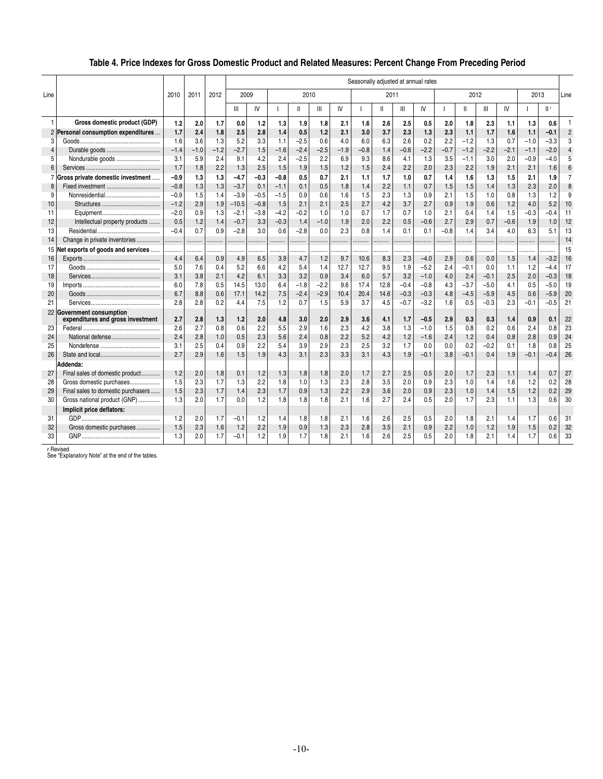# **Table 4. Price Indexes for Gross Domestic Product and Related Measures: Percent Change From Preceding Period**

|                |                                                                |            |            |        | Seasonally adjusted at annual rates |            |            |              |            |            |            |      |            |            |            |        |        |        |            |            |                |
|----------------|----------------------------------------------------------------|------------|------------|--------|-------------------------------------|------------|------------|--------------|------------|------------|------------|------|------------|------------|------------|--------|--------|--------|------------|------------|----------------|
| Line           |                                                                | 2010       | 2011       | 2012   | 2009                                |            |            | 2010         |            |            |            | 2011 |            |            |            | 2012   |        |        | 2013       |            | Line           |
|                |                                                                |            |            |        | Ш                                   | IV         |            | $\mathsf{I}$ | Ш          | IV         |            | Ш    | Ш          | IV         |            | Ш      | Ш      | IV     |            | II r       |                |
|                | Gross domestic product (GDP)                                   | 1.2        | 2.0        | 1.7    | 0.0                                 | 1.2        | 1.3        | 1.9          | 1.8        | 2.1        | 1.6        | 2.6  | 2.5        | 0.5        | 2.0        | 1.8    | 2.3    | 1.1    | 1.3        | 0.6        | 1              |
| $\overline{2}$ | Personal consumption expenditures                              | 1.7        | 2.4        | 1.8    | 2.5                                 | 2.8        | 1.4        | 0.5          | 1.2        | 2.1        | 3.0        | 3.7  | 2.3        | 1.3        | 2.3        | 1.1    | 1.7    | 1.6    | 1.1        | $-0.1$     | $\overline{2}$ |
| 3              |                                                                | 1.6        | 3.6        | 1.3    | 5.2                                 | 3.3        | 1.1        | $-2.5$       | 0.6        | 4.0        | 6.0        | 6.3  | 2.6        | 0.2        | 2.2        | $-1.2$ | 1.3    | 0.7    | $-1.0$     | $-3.3$     | 3              |
| $\overline{4}$ |                                                                | $-1.4$     | $-1.0$     | $-1.2$ | $-2.7$                              | 1.5        | $-1.6$     | $-2.4$       | $-2.5$     | $-1.9$     | $-0.8$     | 1.4  | $-0.6$     | $-2.2$     | $-0.7$     | $-1.2$ | $-2.2$ | $-2.1$ | $-1.1$     | $-2.0$     | $\Delta$       |
| 5              | Nondurable goods                                               | 3.1        | 5.9        | 2.4    | 9.1                                 | 4.2        | 2.4        | $-2.5$       | 2.2        | 6.9        | 9.3        | 8.6  | 4.1        | 1.3        | 3.5        | $-1.1$ | 3.0    | 2.0    | $-0.9$     | $-4.0$     | 5              |
| 6              |                                                                | 1.7        | 1.8        | 2.2    | 1.3                                 | 2.5        | 1.5        | 1.9          | 1.5        | 1.2        | 1.5        | 2.4  | 2.2        | 2.0        | 2.3        | 2.2    | 1.9    | 2.1    | 2.1        | 1.6        | 6              |
| $\overline{7}$ | Gross private domestic investment                              | $-0.9$     | 1.3        | 1.3    | $-4.7$                              | $-0.3$     | $-0.8$     | 0.5          | 0.7        | 2.1        | 1.1        | 1.7  | 1.0        | 0.7        | 1.4        | 1.6    | 1.3    | 1.5    | 2.1        | 1.9        | $\overline{7}$ |
| 8              |                                                                | $-0.8$     | 1.3        | 1.3    | $-3.7$                              | 0.1        | $-1.1$     | 0.1          | 0.5        | 1.8        | 1.4        | 2.2  | 1.1        | 0.7        | 1.5        | 1.5    | 1.4    | 1.3    | 2.3        | 2.0        | 8              |
| 9              |                                                                | $-0.9$     | 1.5        | 1.4    | $-3.9$                              | $-0.5$     | $-1.5$     | 0.9          | 0.6        | 1.6        | 1.5        | 2.3  | 1.3        | 0.9        | 2.1        | 1.5    | 1.0    | 0.8    | 1.3        | 1.2        | 9              |
| 10             |                                                                | $-1.2$     | 2.9        | 1.9    | $-10.5$                             | $-0.8$     | 1.5        | 2.1          | 2.1        | 2.5        | 2.7        | 4.2  | 3.7        | 2.7        | 0.9        | 1.9    | 0.6    | 1.2    | 4.0        | 5.2        | 10             |
| 11             |                                                                | $-2.0$     | 0.9        | 1.3    | $-2.1$                              | $-3.8$     | $-4.2$     | $-0.2$       | 1.0        | 1.0        | 0.7        | 1.7  | 0.7        | 1.0        | 2.1        | 0.4    | 1.4    | 1.5    | $-0.3$     | $-0.4$     | 11             |
| 12             | Intellectual property products                                 | 0.5        | 1.2        | 1.4    | $-0.7$                              | 3.3        | $-0.3$     | 1.4          | $-1.0$     | 1.9        | 2.0        | 2.2  | 0.5        | $-0.6$     | 2.7        | 2.9    | 0.7    | $-0.6$ | 1.9        | 1.0        | 12             |
| 13             |                                                                | $-0.4$     | 0.7        | 0.9    | $-2.8$                              | 3.0        | 0.6        | $-2.8$       | 0.0        | 2.3        | 0.8        | 1.4  | 0.1        | 0.1        | $-0.8$     | 1.4    | 3.4    | 4.0    | 6.3        | 5.1        | 13             |
| 14             | Change in private inventories                                  |            | .          |        | .                                   | .          |            |              |            | .          | .          | .    | .          | .          | .          | .      |        |        |            |            | 14             |
| 15             | Net exports of goods and services                              |            |            | .      |                                     |            |            |              |            |            |            |      |            |            |            |        |        |        |            |            | 15             |
| 16             |                                                                | 4.4        | 6.4        | 0.9    | 4.9                                 | 6.5        | 3.9        | 4.7          | 1.2        | 9.7        | 10.6       | 8.3  | 2.3        | $-4.0$     | 2.9        | 0.6    | 0.0    | 1.5    | 1.4        | $-3.2$     | 16             |
| 17             |                                                                | 5.0        | 7.6        | 0.4    | 5.2                                 | 6.6        | 4.2        | 5.4          | 1.4        | 12.7       | 12.7       | 9.5  | 1.9        | $-5.2$     | 2.4        | $-0.1$ | 0.0    | 1.1    | 1.2        | $-4.4$     | 17             |
| 18             |                                                                | 3.1        | 3.8        | 2.1    | 4.2                                 | 6.1        | 3.3        | 3.2          | 0.9        | 3.4        | 6.0        | 5.7  | 3.2        | $-1.0$     | 4.0        | 2.4    | $-0.1$ | 2.5    | 2.0        | $-0.3$     | 18             |
| 19             |                                                                | 6.0        | 7.8        | 0.5    | 14.5                                | 13.0       | 6.4        | $-1.8$       | $-2.2$     | 9.6        | 17.4       | 12.8 | $-0.4$     | $-0.8$     | 4.3        | $-3.7$ | $-5.0$ | 4.1    | 0.5        | $-5.0$     | 19             |
| 20             |                                                                | 6.7        | 8.8        | 0.6    | 17.1                                | 14.2       | 7.5        | $-2.4$       | $-2.9$     | 10.4       | 20.4       | 14.6 | $-0.3$     | $-0.3$     | 4.8        | $-4.5$ | $-5.9$ | 4.5    | 0.6        | $-5.9$     | 20             |
| 21             |                                                                | 2.8        | 2.8        | 0.2    | 4.4                                 | 7.5        | 1.2        | 0.7          | 1.5        | 5.9        | 3.7        | 4.5  | $-0.7$     | $-3.2$     | 1.6        | 0.5    | $-0.3$ | 2.3    | $-0.1$     | $-0.5$     | 21             |
|                | 22 Government consumption<br>expenditures and gross investment | 2.7        | 2.8        | 1.3    | 1.2                                 | 2.0        | 4.8        | 3.0          | 2.0        | 2.9        | 3.6        | 4.1  | 1.7        | $-0.5$     | 2.9        | 0.3    | 0.3    | 1.4    | 0.9        | 0.1        | 22             |
| 23             |                                                                | 2.6        | 2.7        | 0.8    | 0.6                                 | 2.2        | 5.5        | 2.9          | 1.6        | 2.3        | 4.2        | 3.8  | 1.3        | $-1.0$     | 1.5        | 0.8    | 0.2    | 0.6    | 2.4        | 0.8        | 23             |
| 24             |                                                                | 2.4        | 2.8        | 1.0    | 0.5                                 | 2.3        | 5.6        | 2.4          | 0.8        | 2.2        | 5.2        | 4.2  | 1.2        | $-1.6$     | 2.4        | 1.2    | 0.4    | 0.8    | 2.8        | 0.9        | 24             |
| 25             |                                                                | 3.1        | 2.5        | 0.4    | 0.9                                 | 2.2        | 5.4        | 3.9          | 2.9        | 2.3        | 2.5        | 3.2  | 1.7        | 0.0        | 0.0        | 0.2    | $-0.2$ | 0.1    | 1.8        | 0.8        | 25             |
| 26             |                                                                | 2.7        | 2.9        | 1.6    | 1.5                                 | 1.9        | 4.3        | 3.1          | 2.3        | 3.3        | 3.1        | 4.3  | 1.9        | $-0.1$     | 3.8        | $-0.1$ | 0.4    | 1.9    | $-0.1$     | $-0.4$     | 26             |
|                | Addenda:                                                       |            |            |        |                                     |            |            |              |            |            |            |      |            |            |            |        |        |        |            |            |                |
|                |                                                                |            |            |        |                                     |            |            |              |            |            |            |      |            |            |            |        |        |        |            |            |                |
| 27             | Final sales of domestic product                                | 1.2<br>1.5 | 2.0<br>2.3 | 1.8    | 0.1                                 | 1.2<br>2.2 | 1.3<br>1.8 | 1.8<br>1.0   | 1.8<br>1.3 | 2.0<br>2.3 | 1.7<br>2.8 | 2.7  | 2.5<br>2.0 | 0.5<br>0.9 | 2.0<br>2.3 | 1.7    | 2.3    | 1.1    | 1.4<br>1.2 | 0.7<br>0.2 | 27<br>28       |
| 28             | Gross domestic purchases                                       |            |            | 1.7    | 1.3                                 |            |            |              | 1.3        |            |            | 3.5  |            |            |            | 1.0    | 1.4    | 1.6    |            |            |                |
| 29             | Final sales to domestic purchasers                             | 1.5        | 2.3        | 1.7    | 1.4                                 | 2.3        | 1.7        | 0.9          |            | 2.2        | 2.9        | 3.6  | 2.0        | 0.9        | 2.3        | 1.0    | 1.4    | 1.5    | 1.2        | 0.2        | 29             |
| 30             | Gross national product (GNP)                                   | 1.3        | 2.0        | 1.7    | 0.0                                 | 1.2        | 1.8        | 1.8          | 1.8        | 2.1        | 1.6        | 2.7  | 2.4        | 0.5        | 2.0        | 1.7    | 2.3    | 1.1    | 1.3        | 0.6        | 30             |
|                | Implicit price deflators:                                      |            |            |        |                                     |            |            |              |            |            |            |      |            |            |            |        |        |        |            |            |                |
| 31             |                                                                | 1.2        | 2.0        | 1.7    | $-0.1$                              | 1.2        | 1.4        | 1.8          | 1.8        | 2.1        | 1.6        | 2.6  | 2.5        | 0.5        | 2.0        | 1.8    | 2.1    | 1.4    | 1.7        | 0.6        | 31             |
| 32             | Gross domestic purchases                                       | 1.5        | 2.3        | 1.6    | 1.2                                 | 2.2        | 1.9        | 0.9          | 1.3        | 2.3        | 2.8        | 3.5  | 2.1        | 0.9        | 2.2        | 1.0    | 1.2    | 1.9    | 1.5        | 0.2        | 32             |
| 33             |                                                                | 1.3        | 2.0        | 1.7    | $-0.1$                              | 1.2        | 1.9        | 1.7          | 1.8        | 2.1        | 1.6        | 2.6  | 2.5        | 0.5        | 2.0        | 1.8    | 2.1    | 1.4    | 1.7        | 0.6        | 33             |

r Revised See "Explanatory Note" at the end of the tables.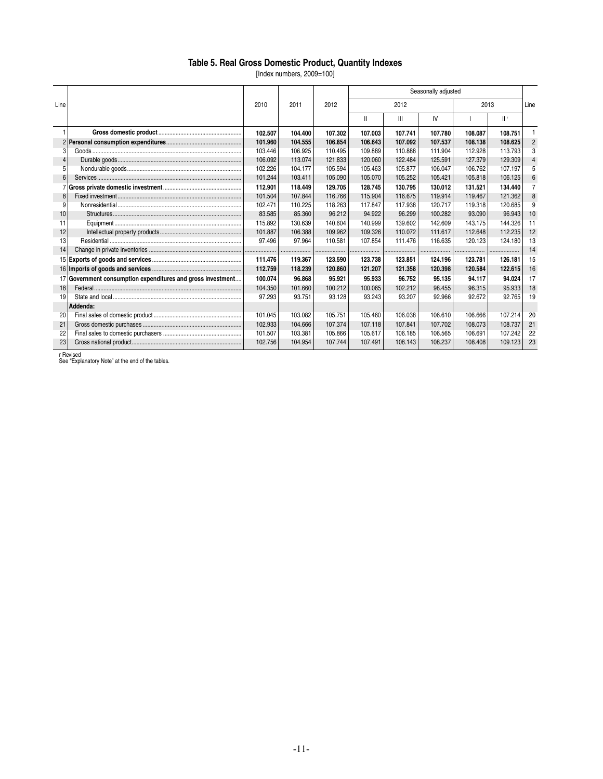#### **Table 5. Real Gross Domestic Product, Quantity Indexes**

[Index numbers, 2009=100]

|      |                                                             |         |         |         |              |                | Seasonally adjusted |         |         |                |
|------|-------------------------------------------------------------|---------|---------|---------|--------------|----------------|---------------------|---------|---------|----------------|
| Line |                                                             | 2010    | 2011    | 2012    |              | 2012           |                     | 2013    |         | Line           |
|      |                                                             |         |         |         | $\mathbf{H}$ | $\mathbf{III}$ | IV                  |         | $  $ f  |                |
|      |                                                             | 102.507 | 104.400 | 107.302 | 107.003      | 107.741        | 107.780             | 108.087 | 108.751 |                |
|      |                                                             | 101.960 | 104.555 | 106.854 | 106.643      | 107.092        | 107.537             | 108.138 | 108.625 | $\overline{2}$ |
| 3    |                                                             | 103.446 | 106.925 | 110.495 | 109.889      | 110.888        | 111.904             | 112.928 | 113.793 | 3              |
|      |                                                             | 106.092 | 113.074 | 121.833 | 120.060      | 122.484        | 125.591             | 127.379 | 129.309 | 4              |
| 5    |                                                             | 102.226 | 104.177 | 105.594 | 105.463      | 105.877        | 106.047             | 106.762 | 107.197 | 5              |
| 6    |                                                             | 101.244 | 103.411 | 105.090 | 105.070      | 105.252        | 105.421             | 105.818 | 106.125 | 6              |
|      |                                                             | 112.901 | 118.449 | 129.705 | 128.745      | 130.795        | 130.012             | 131.521 | 134.440 | 7              |
| 8    |                                                             | 101.504 | 107.844 | 116.766 | 115.904      | 116.675        | 119.914             | 119.467 | 121.362 | 8              |
| 9    |                                                             | 102.471 | 110.225 | 118.263 | 117.847      | 117.938        | 120.717             | 119.318 | 120.685 | 9              |
| 10   |                                                             | 83.585  | 85.360  | 96.212  | 94.922       | 96.299         | 100.282             | 93.090  | 96.943  | 10             |
| 11   |                                                             | 115.892 | 130.639 | 140.604 | 140.999      | 139.602        | 142.609             | 143.175 | 144.326 | 11             |
| 12   |                                                             | 101.887 | 106.388 | 109.962 | 109.326      | 110.072        | 111.617             | 112.648 | 112.235 | 12             |
| 13   |                                                             | 97.496  | 97.964  | 110.581 | 107.854      | 111.476        | 116.635             | 120.123 | 124.180 | 13             |
| 14   |                                                             |         |         |         |              |                |                     |         |         | 14             |
|      |                                                             | 111.476 | 119.367 | 123.590 | 123.738      | 123.851        | 124.196             | 123.781 | 126.181 | 15             |
|      |                                                             | 112.759 | 118.239 | 120.860 | 121.207      | 121.358        | 120.398             | 120.584 | 122.615 | 16             |
|      | 17 Government consumption expenditures and gross investment | 100.074 | 96.868  | 95.921  | 95.933       | 96.752         | 95.135              | 94.117  | 94.024  | 17             |
| 18   |                                                             | 104.350 | 101.660 | 100.212 | 100.065      | 102.212        | 98.455              | 96.315  | 95.933  | 18             |
| 19   |                                                             | 97.293  | 93.751  | 93.128  | 93.243       | 93.207         | 92.966              | 92.672  | 92.765  | 19             |
|      | Addenda:                                                    |         |         |         |              |                |                     |         |         |                |
| 20   |                                                             | 101.045 | 103.082 | 105.751 | 105.460      | 106.038        | 106,610             | 106,666 | 107.214 | 20             |
| 21   |                                                             | 102.933 | 104.666 | 107.374 | 107.118      | 107.841        | 107.702             | 108.073 | 108.737 | 21             |
| 22   |                                                             | 101.507 | 103.381 | 105.866 | 105.617      | 106.185        | 106.565             | 106.691 | 107.242 | 22             |
| 23   |                                                             | 102.756 | 104.954 | 107.744 | 107.491      | 108.143        | 108.237             | 108.408 | 109.123 | 23             |

r Revised See "Explanatory Note" at the end of the tables.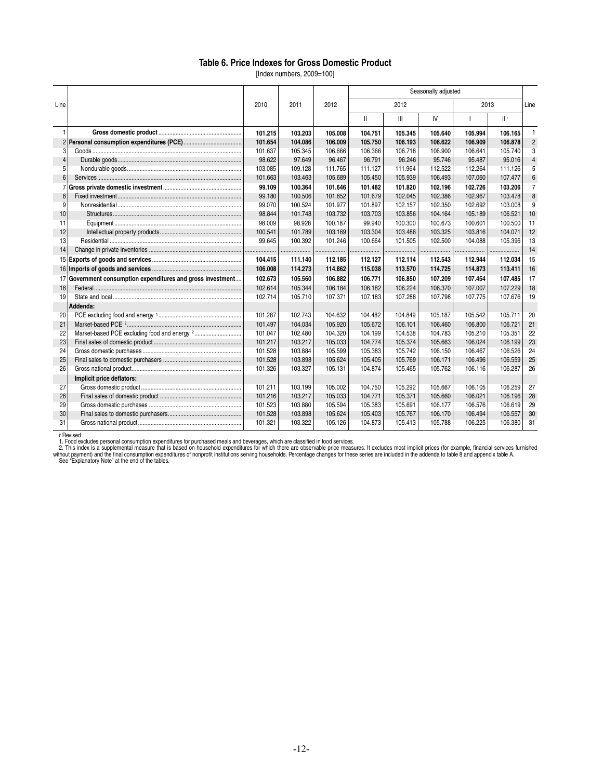#### **Table 6. Price Indexes for Gross Domestic Product**

[Index numbers, 2009=100]

|                |                                                          |         |         |         | Seasonally adjusted |         |         |         |         |                |  |
|----------------|----------------------------------------------------------|---------|---------|---------|---------------------|---------|---------|---------|---------|----------------|--|
| Line           |                                                          | 2010    | 2011    | 2012    |                     | 2012    |         | 2013    |         | Line           |  |
|                |                                                          |         |         |         | Ш                   | III     | IV      |         | $  $ r  |                |  |
| $\overline{1}$ |                                                          | 101.215 | 103.203 | 105.008 | 104.751             | 105.345 | 105.640 | 105.994 | 106.165 | $\mathbf{1}$   |  |
| $\overline{2}$ |                                                          | 101.654 | 104.086 | 106.009 | 105.750             | 106.193 | 106.622 | 106.909 | 106.878 | $\overline{2}$ |  |
| 3              |                                                          | 101.637 | 105.345 | 106.666 | 106.366             | 106.718 | 106.900 | 106.641 | 105.740 | 3              |  |
| $\overline{4}$ |                                                          | 98.622  | 97.649  | 96.467  | 96.791              | 96.246  | 95.746  | 95.487  | 95.016  | 4              |  |
| 5              |                                                          | 103.085 | 109.128 | 111.765 | 111.127             | 111.964 | 112.522 | 112.264 | 111.126 | 5              |  |
| 6              |                                                          | 101.663 | 103.463 | 105.689 | 105.450             | 105.939 | 106.493 | 107.060 | 107.477 | 6              |  |
|                |                                                          | 99.109  | 100.364 | 101.646 | 101.482             | 101.820 | 102.196 | 102.726 | 103.206 | $\overline{7}$ |  |
| 8              |                                                          | 99.180  | 100.506 | 101.852 | 101.679             | 102.045 | 102.386 | 102.967 | 103.478 | 8              |  |
| 9              |                                                          | 99.070  | 100.524 | 101.977 | 101.897             | 102.157 | 102.350 | 102.692 | 103.008 | $\overline{9}$ |  |
| 10             |                                                          | 98.844  | 101.748 | 103.732 | 103.703             | 103.856 | 104.164 | 105.189 | 106.521 | 10             |  |
| 11             |                                                          | 98.009  | 98.928  | 100.187 | 99.940              | 100.300 | 100.673 | 100.601 | 100.500 | 11             |  |
| 12             |                                                          | 100.541 | 101.789 | 103.169 | 103.304             | 103.486 | 103.325 | 103.816 | 104.071 | 12             |  |
| 13             |                                                          | 99.645  | 100.392 | 101.246 | 100.664             | 101.505 | 102.500 | 104.088 | 105.396 | 13             |  |
| 14             |                                                          |         | .       | .       | .                   |         | .       |         | .       | 14             |  |
|                |                                                          | 104.415 | 111.140 | 112.185 | 112.127             | 112.114 | 112.543 | 112.944 | 112.034 | 15             |  |
| 16             |                                                          | 106,008 | 114.273 | 114.862 | 115.038             | 113,570 | 114.725 | 114.873 | 113.411 | 16             |  |
| 17             | Government consumption expenditures and gross investment | 102.673 | 105.560 | 106.882 | 106.771             | 106.850 | 107.209 | 107.454 | 107.485 | 17             |  |
| 18             |                                                          | 102.614 | 105.344 | 106.184 | 106.182             | 106.224 | 106.370 | 107.007 | 107.229 | 18             |  |
| 19             |                                                          | 102.714 | 105.710 | 107.371 | 107.183             | 107.288 | 107.798 | 107.775 | 107.676 | 19             |  |
|                | Addenda:                                                 |         |         |         |                     |         |         |         |         |                |  |
| 20             |                                                          | 101.287 | 102.743 | 104.632 | 104.482             | 104.849 | 105.187 | 105.542 | 105.711 | 20             |  |
| 21             |                                                          | 101.497 | 104.034 | 105.920 | 105.672             | 106.101 | 106.460 | 106.800 | 106.721 | 21             |  |
| 22             |                                                          | 101.047 | 102.480 | 104.320 | 104.199             | 104.538 | 104.783 | 105.210 | 105.351 | 22             |  |
| 23             |                                                          | 101.217 | 103.217 | 105.033 | 104.774             | 105.374 | 105.663 | 106.024 | 106.199 | 23             |  |
| 24             |                                                          | 101.528 | 103.884 | 105.599 | 105.383             | 105.742 | 106.150 | 106.467 | 106.526 | 24             |  |
| 25             |                                                          | 101.528 | 103.898 | 105.624 | 105.405             | 105.769 | 106.171 | 106.496 | 106.559 | 25             |  |
| 26             |                                                          | 101.326 | 103.327 | 105.131 | 104.874             | 105.465 | 105.762 | 106.116 | 106.287 | 26             |  |
|                | Implicit price deflators:                                |         |         |         |                     |         |         |         |         |                |  |
| 27             |                                                          | 101.211 | 103.199 | 105.002 | 104.750             | 105.292 | 105.667 | 106.105 | 106.259 | 27             |  |
| 28             |                                                          | 101.216 | 103.217 | 105.033 | 104.771             | 105.371 | 105.660 | 106.021 | 106.196 | 28             |  |
| 29             |                                                          | 101.523 | 103.880 | 105.594 | 105.383             | 105.691 | 106.177 | 106.576 | 106.619 | 29             |  |
| 30             |                                                          | 101.528 | 103.898 | 105.624 | 105.403             | 105.767 | 106.170 | 106.494 | 106.557 | 30             |  |
| 31             |                                                          | 101.321 | 103.322 | 105.126 | 104.873             | 105.413 | 105.788 | 106.225 | 106.380 | 31             |  |

r Revised

1. Food excludes personal consumption expenditures for purchased meals and beverages, which are classified in food services.<br>2. This index is a supplemental measure that is based on household expenditures for which there a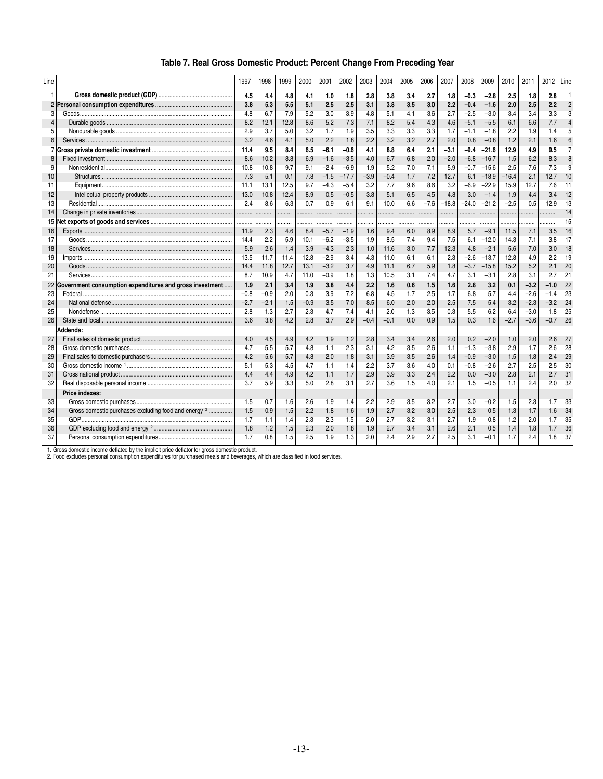| Line           |                                                                 | 1997   | 1998   | 1999 | 2000   | 2001   | 2002    | 2003   | 2004   | 2005 | 2006   | 2007    | 2008    | 2009    | 2010    | 2011   | 2012   | Line |
|----------------|-----------------------------------------------------------------|--------|--------|------|--------|--------|---------|--------|--------|------|--------|---------|---------|---------|---------|--------|--------|------|
| 1              |                                                                 | 4.5    | 4.4    | 4.8  | 4.1    | 1.0    | 1.8     | 2.8    | 3.8    | 3.4  | 2.7    | 1.8     | $-0.3$  | $-2.8$  | 2.5     | 1.8    | 2.8    |      |
| $\overline{2}$ |                                                                 | 3.8    | 5.3    | 5.5  | 5.1    | 2.5    | 2.5     | 3.1    | 3.8    | 3.5  | 3.0    | 2.2     | $-0.4$  | $-1.6$  | 2.0     | 2.5    | 2.2    |      |
| 3              |                                                                 | 4.8    | 6.7    | 7.9  | 5.2    | 3.0    | 3.9     | 4.8    | 5.1    | 4.1  | 3.6    | 2.7     | $-2.5$  | $-3.0$  | 3.4     | 3.4    | 3.3    |      |
| $\overline{4}$ |                                                                 | 8.2    | 12.1   | 12.8 | 8.6    | 5.2    | 7.3     | 7.1    | 8.2    | 5.4  | 4.3    | 4.6     | $-5.1$  | $-5.5$  | 6.1     | 6.6    | 7.7    |      |
| 5              |                                                                 | 2.9    | 3.7    | 5.0  | 3.2    | 1.7    | 1.9     | 3.5    | 3.3    | 3.3  | 3.3    | 1.7     | $-1.1$  | $-1.8$  | 2.2     | 1.9    | 1.4    |      |
| 6              |                                                                 | 3.2    | 4.6    | 4.1  | 5.0    | 2.2    | 1.8     | 2.2    | 3.2    | 3.2  | 2.7    | 2.0     | 0.8     | $-0.8$  | 1.2     | 2.1    | 1.6    |      |
| 7              |                                                                 | 11.4   | 9.5    | 8.4  | 6.5    | $-6.1$ | $-0.6$  | 4.1    | 8.8    | 6.4  | 2.1    | $-3.1$  | $-9.4$  | $-21.6$ | 12.9    | 4.9    | 9.5    |      |
| 8              |                                                                 | 8.6    | 10.2   | 8.8  | 6.9    | $-1.6$ | $-3.5$  | 4.0    | 6.7    | 6.8  | 2.0    | $-2.0$  | $-6.8$  | $-16.7$ | 1.5     | 6.2    | 8.3    |      |
| g              |                                                                 | 10.8   | 10.8   | 9.7  | 9.1    | $-2.4$ | $-6.9$  | 1.9    | 5.2    | 7.0  | 7.1    | 5.9     | $-0.7$  | $-15.6$ | 2.5     | 7.6    | 7.3    |      |
| 10             |                                                                 | 7.3    | 5.1    | 0.1  | 7.8    | $-1.5$ | $-17.7$ | $-3.9$ | $-0.4$ | 1.7  | 7.2    | 12.7    | 6.1     | $-18.9$ | $-16.4$ | 2.1    | 12.7   | 10   |
| 11             |                                                                 | 11.1   | 13.1   | 12.5 | 9.7    | $-4.3$ | $-5.4$  | 3.2    | 7.7    | 9.6  | 8.6    | 3.2     | $-6.9$  | $-22.9$ | 15.9    | 12.7   | 7.6    | 11   |
| 12             |                                                                 | 13.0   | 10.8   | 12.4 | 8.9    | 0.5    | $-0.5$  | 3.8    | 5.1    | 6.5  | 4.5    | 4.8     | 3.0     | $-1.4$  | 1.9     | 4.4    | 3.4    | 12   |
| 13             |                                                                 | 2.4    | 8.6    | 6.3  | 0.7    | 0.9    | 6.1     | 9.1    | 10.0   | 6.6  | $-7.6$ | $-18.8$ | $-24.0$ | $-21.2$ | $-2.5$  | 0.5    | 12.9   | 13   |
| 14             |                                                                 | .      | .      | .    |        |        | .       | .      | .      |      |        |         |         | .       | .       | .      |        | 14   |
| 15             |                                                                 |        | .      |      |        | .      | .       | .      |        |      |        |         |         |         |         |        |        | 15   |
| 16             |                                                                 | 11.9   | 2.3    | 4.6  | 8.4    | $-5.7$ | $-1.9$  | 1.6    | 9.4    | 6.0  | 8.9    | 8.9     | 5.7     | $-9.1$  | 11.5    | 7.1    | 3.5    | 16   |
| 17             |                                                                 | 14.4   | 2.2    | 5.9  | 10.1   | $-6.2$ | $-3.5$  | 1.9    | 8.5    | 7.4  | 9.4    | 7.5     | 6.1     | $-12.0$ | 14.3    | 7.1    | 3.8    | 17   |
| 18             |                                                                 | 5.9    | 2.6    | 1.4  | 3.9    | $-4.3$ | 2.3     | 1.0    | 11.6   | 3.0  | 7.7    | 12.3    | 4.8     | $-2.1$  | 5.6     | 7.0    | 3.0    | 18   |
| 19             |                                                                 | 13.5   | 11.7   | 11.4 | 12.8   | $-2.9$ | 3.4     | 4.3    | 11.0   | 6.1  | 6.1    | 2.3     | $-2.6$  | $-13.7$ | 12.8    | 4.9    | 2.2    | 19   |
| 20             |                                                                 | 14.4   | 11.8   | 12.7 | 13.1   | $-3.2$ | 3.7     | 4.9    | 11.1   | 6.7  | 5.9    | 1.8     | $-3.7$  | $-15.8$ | 15.2    | 5.2    | 2.1    | 20   |
| 21             |                                                                 | 8.7    | 10.9   | 4.7  | 11.0   | $-0.9$ | 1.8     | 1.3    | 10.5   | 3.1  | 7.4    | 4.7     | 3.1     | $-3.1$  | 2.8     | 3.1    | 2.7    | 21   |
| 22             | Government consumption expenditures and gross investment        | 1.9    | 2.1    | 3.4  | 1.9    | 3.8    | 4.4     | 2.2    | 1.6    | 0.6  | 1.5    | 1.6     | 2.8     | 3.2     | 0.1     | $-3.2$ | $-1.0$ | 22   |
| 23             |                                                                 | $-0.8$ | $-0.9$ | 2.0  | 0.3    | 3.9    | 7.2     | 6.8    | 4.5    | 1.7  | 2.5    | 1.7     | 6.8     | 5.7     | 4.4     | $-2.6$ | $-1.4$ | 23   |
| 24             |                                                                 | $-2.7$ | $-2.1$ | 1.5  | $-0.9$ | 3.5    | 7.0     | 8.5    | 6.0    | 2.0  | 2.0    | 2.5     | 7.5     | 5.4     | 3.2     | $-2.3$ | $-3.2$ | 24   |
| 25             |                                                                 | 2.8    | 1.3    | 2.7  | 2.3    | 4.7    | 7.4     | 4.1    | 2.0    | 1.3  | 3.5    | 0.3     | 5.5     | 6.2     | 6.4     | $-3.0$ | 1.8    | 25   |
| 26             |                                                                 | 3.6    | 3.8    | 4.2  | 2.8    | 3.7    | 2.9     | $-0.4$ | $-0.1$ | 0.0  | 0.9    | 1.5     | 0.3     | 1.6     | $-2.7$  | $-3.6$ | $-0.7$ | 26   |
|                | Addenda:                                                        |        |        |      |        |        |         |        |        |      |        |         |         |         |         |        |        |      |
| 27             |                                                                 | 4.0    | 4.5    | 4.9  | 4.2    | 1.9    | 1.2     | 2.8    | 3.4    | 3.4  | 2.6    | 2.0     | 0.2     | $-2.0$  | 1.0     | 2.0    | 2.6    | 27   |
| 28             |                                                                 | 4.7    | 5.5    | 5.7  | 4.8    | 1.1    | 2.3     | 3.1    | 4.2    | 3.5  | 2.6    | 1.1     | $-1.3$  | $-3.8$  | 2.9     | 1.7    | 2.6    | 28   |
| 29             |                                                                 | 4.2    | 5.6    | 5.7  | 4.8    | 2.0    | 1.8     | 3.1    | 3.9    | 3.5  | 2.6    | 1.4     | $-0.9$  | $-3.0$  | 1.5     | 1.8    | 2.4    | 29   |
| 30             |                                                                 | 5.1    | 5.3    | 4.5  | 4.7    | 1.1    | 1.4     | 2.2    | 3.7    | 3.6  | 4.0    | 0.1     | $-0.8$  | $-2.6$  | 2.7     | 2.5    | 2.5    | 30   |
| 31             |                                                                 | 4.4    | 4.4    | 4.9  | 4.2    | 1.1    | 1.7     | 2.9    | 3.9    | 3.3  | 2.4    | 2.2     | 0.0     | $-3.0$  | 2.8     | 2.1    | 2.7    | 31   |
| 32             |                                                                 | 3.7    | 5.9    | 3.3  | 5.0    | 2.8    | 3.1     | 2.7    | 3.6    | 1.5  | 4.0    | 2.1     | 1.5     | $-0.5$  | 1.1     | 2.4    | 2.0    | 32   |
|                | Price indexes:                                                  |        |        |      |        |        |         |        |        |      |        |         |         |         |         |        |        |      |
| 33             |                                                                 | 1.5    | 0.7    | 1.6  | 2.6    | 1.9    | 1.4     | 2.2    | 2.9    | 3.5  | 3.2    | 2.7     | 3.0     | $-0.2$  | 1.5     | 2.3    | 1.7    | 33   |
| 34             | Gross domestic purchases excluding food and energy <sup>2</sup> | 1.5    | 0.9    | 1.5  | 2.2    | 1.8    | 1.6     | 1.9    | 2.7    | 3.2  | 3.0    | 2.5     | 2.3     | 0.5     | 1.3     | 1.7    | 1.6    | 34   |
| 35             |                                                                 | 1.7    | 1.1    | 1.4  | 2.3    | 2.3    | 1.5     | 2.0    | 2.7    | 3.2  | 3.1    | 2.7     | 1.9     | 0.8     | 1.2     | 2.0    | 1.7    | 35   |
| 36             |                                                                 | 1.8    | 1.2    | 1.5  | 2.3    | 2.0    | 1.8     | 1.9    | 2.7    | 3.4  | 3.1    | 2.6     | 2.1     | 0.5     | 1.4     | 1.8    | 1.7    | 36   |
| 37             |                                                                 | 1.7    | 0.8    | 1.5  | 2.5    | 1.9    | 1.3     | 2.0    | 2.4    | 2.9  | 2.7    | 2.5     | 3.1     | $-0.1$  | 1.7     | 2.4    | 1.8    | 37   |

# **Table 7. Real Gross Domestic Product: Percent Change From Preceding Year**

1. Gross domestic income deflated by the implicit price deflator for gross domestic product. 2. Food excludes personal consumption expenditures for purchased meals and beverages, which are classified in food services.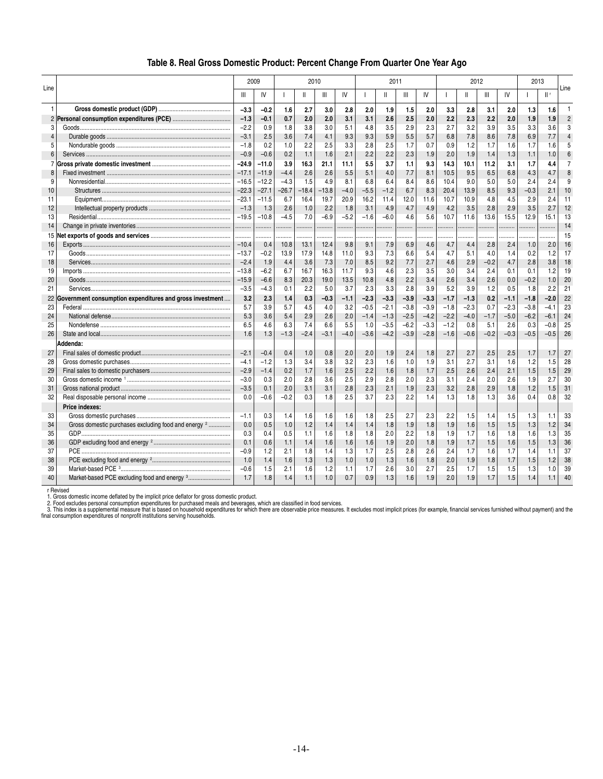| Table 8. Real Gross Domestic Product: Percent Change From Quarter One Year Ago |  |  |  |  |  |
|--------------------------------------------------------------------------------|--|--|--|--|--|
|                                                                                |  |  |  |  |  |

|                |                                                                                                                                                                                                                                                                                                                                                                                                                                                                                                                      | 2009    |         |         | 2010         |         |        |        | 2011         |                |        |        | 2012         |        |        |        | 2013   |                |
|----------------|----------------------------------------------------------------------------------------------------------------------------------------------------------------------------------------------------------------------------------------------------------------------------------------------------------------------------------------------------------------------------------------------------------------------------------------------------------------------------------------------------------------------|---------|---------|---------|--------------|---------|--------|--------|--------------|----------------|--------|--------|--------------|--------|--------|--------|--------|----------------|
| Line           |                                                                                                                                                                                                                                                                                                                                                                                                                                                                                                                      | Ш       | IV      |         | $\mathbf{H}$ | Ш       | IV     |        | $\mathbf{H}$ | $\mathbf{III}$ | IV     |        | $\mathbf{H}$ | Ш      | IV     |        | II r   | Line           |
| 1              |                                                                                                                                                                                                                                                                                                                                                                                                                                                                                                                      | $-3.3$  | $-0.2$  | 1.6     | 2.7          | 3.0     | 2.8    | 2.0    | 1.9          | 1.5            | 2.0    | 3.3    | 2.8          | 3.1    | 2.0    | 1.3    | 1.6    | $\mathbf{1}$   |
| 2              |                                                                                                                                                                                                                                                                                                                                                                                                                                                                                                                      | $-1.3$  | $-0.1$  | 0.7     | 2.0          | 2.0     | 3.1    | 3.1    | 2.6          | 2.5            | 2.0    | 2.2    | 2.3          | 2.2    | 2.0    | 1.9    | 1.9    | $\overline{2}$ |
| 3              |                                                                                                                                                                                                                                                                                                                                                                                                                                                                                                                      | $-2.2$  | 0.9     | 1.8     | 3.8          | 3.0     | 5.1    | 4.8    | 3.5          | 2.9            | 2.3    | 2.7    | 3.2          | 3.9    | 3.5    | 3.3    | 3.6    | 3              |
| 4              |                                                                                                                                                                                                                                                                                                                                                                                                                                                                                                                      | $-3.1$  | 2.5     | 3.6     | 7.4          | 4.1     | 9.3    | 9.3    | 5.9          | 5.5            | 5.7    | 6.8    | 7.8          | 8.6    | 7.8    | 6.9    | 7.7    | $\overline{4}$ |
| 5              |                                                                                                                                                                                                                                                                                                                                                                                                                                                                                                                      | $-1.8$  | 0.2     | 1.0     | 2.2          | 2.5     | 3.3    | 2.8    | 2.5          | 1.7            | 0.7    | 0.9    | 1.2          | 1.7    | 1.6    | 1.7    | 1.6    | 5              |
| 6              |                                                                                                                                                                                                                                                                                                                                                                                                                                                                                                                      | $-0.9$  | $-0.6$  | 0.2     | 1.1          | 1.6     | 2.1    | 2.2    | 2.2          | 2.3            | 1.9    | 2.0    | 1.9          | 1.4    | 1.3    | 1.1    | 1.0    | 6              |
| $\overline{7}$ |                                                                                                                                                                                                                                                                                                                                                                                                                                                                                                                      | $-24.9$ | $-11.0$ | 3.9     | 16.3         | 21.1    | 11.1   | 5.5    | 3.7          | 1.1            | 9.3    | 14.3   | 10.1         | 11.2   | 3.1    | 1.7    | 4.4    | $\overline{7}$ |
| 8              |                                                                                                                                                                                                                                                                                                                                                                                                                                                                                                                      | $-17.1$ | $-11.9$ | $-4.4$  | 2.6          | 2.6     | 5.5    | 5.1    | 4.0          | 7.7            | 8.1    | 10.5   | 9.5          | 6.5    | 6.8    | 4.3    | 4.7    | 8              |
| 9              |                                                                                                                                                                                                                                                                                                                                                                                                                                                                                                                      | $-16.5$ | $-12.2$ | $-4.3$  | 1.5          | 4.9     | 8.1    | 6.8    | 6.4          | 8.4            | 8.6    | 10.4   | 9.0          | 5.0    | 5.0    | 2.4    | 2.4    | 9              |
| 10             |                                                                                                                                                                                                                                                                                                                                                                                                                                                                                                                      | $-22.3$ | $-27.1$ | $-26.7$ | $-18.4$      | $-13.8$ | $-4.0$ | $-5.5$ | $-1.2$       | 6.7            | 8.3    | 20.4   | 13.9         | 8.5    | 9.3    | $-0.3$ | 2.1    | 10             |
| 11             |                                                                                                                                                                                                                                                                                                                                                                                                                                                                                                                      | $-23.1$ | $-11.5$ | 6.7     | 16.4         | 19.7    | 20.9   | 16.2   | 11.4         | 12.0           | 11.6   | 10.7   | 10.9         | 4.8    | 4.5    | 2.9    | 2.4    | 11             |
| 12             |                                                                                                                                                                                                                                                                                                                                                                                                                                                                                                                      | $-1.3$  | 1.3     | 2.6     | 1.0          | 2.2     | 1.8    | 3.1    | 4.9          | 4.7            | 4.9    | 4.2    | 3.5          | 2.8    | 2.9    | 3.5    | 2.7    | 12             |
| 13             |                                                                                                                                                                                                                                                                                                                                                                                                                                                                                                                      | $-19.5$ | $-10.8$ | $-4.5$  | 7.0          | $-6.9$  | $-5.2$ | $-1.6$ | $-6.0$       | 4.6            | 5.6    | 10.7   | 11.6         | 13.6   | 15.5   | 12.9   | 15.1   | 13             |
| 14             |                                                                                                                                                                                                                                                                                                                                                                                                                                                                                                                      | .       | .       | .       | .            | .       | .      |        | .            | .              | .      | .      | .            |        | .      | .      |        | 14             |
| 15             |                                                                                                                                                                                                                                                                                                                                                                                                                                                                                                                      |         |         |         |              |         |        |        |              |                |        |        |              |        |        |        |        | 15             |
| 16             |                                                                                                                                                                                                                                                                                                                                                                                                                                                                                                                      | $-10.4$ | 0.4     | 10.8    | 13.1         | 12.4    | 9.8    | 9.1    | 7.9          | 6.9            | 4.6    | 4.7    | 4.4          | 2.8    | 2.4    | 1.0    | 2.0    | 16             |
| 17             |                                                                                                                                                                                                                                                                                                                                                                                                                                                                                                                      | $-13.7$ | $-0.2$  | 13.9    | 17.9         | 14.8    | 11.0   | 9.3    | 7.3          | 6.6            | 5.4    | 4.7    | 5.1          | 4.0    | 1.4    | 0.2    | 1.2    | 17             |
| 18             |                                                                                                                                                                                                                                                                                                                                                                                                                                                                                                                      | $-2.4$  | 1.9     | 4.4     | 3.6          | 7.3     | 7.0    | 8.5    | 9.2          | 7.7            | 2.7    | 4.6    | 2.9          | $-0.2$ | 4.7    | 2.8    | 3.8    | 18             |
| 19             |                                                                                                                                                                                                                                                                                                                                                                                                                                                                                                                      | $-13.8$ | $-6.2$  | 6.7     | 16.7         | 16.3    | 11.7   | 9.3    | 4.6          | 2.3            | 3.5    | 3.0    | 3.4          | 2.4    | 0.1    | 0.1    | 1.2    | 19             |
| 20             |                                                                                                                                                                                                                                                                                                                                                                                                                                                                                                                      | $-15.9$ | $-6.6$  | 8.3     | 20.3         | 19.0    | 13.5   | 10.8   | 4.8          | 2.2            | 3.4    | 2.6    | 3.4          | 2.6    | 0.0    | $-0.2$ | 1.0    | 20             |
| 21             |                                                                                                                                                                                                                                                                                                                                                                                                                                                                                                                      | $-3.5$  | $-4.3$  | 0.1     | 2.2          | 5.0     | 3.7    | 2.3    | 3.3          | 2.8            | 3.9    | 5.2    | 3.9          | 1.2    | 0.5    | 1.8    | 2.2    | 21             |
| 22             | Government consumption expenditures and gross investment                                                                                                                                                                                                                                                                                                                                                                                                                                                             | 3.2     | 2.3     | 1.4     | 0.3          | $-0.3$  | $-1.1$ | $-2.3$ | $-3.3$       | $-3.9$         | $-3.3$ | $-1.7$ | $-1.3$       | 0.2    | $-1.1$ | $-1.8$ | $-2.0$ | 22             |
| 23             |                                                                                                                                                                                                                                                                                                                                                                                                                                                                                                                      | 5.7     | 3.9     | 5.7     | 4.5          | 4.0     | 3.2    | $-0.5$ | $-2.1$       | $-3.8$         | $-3.9$ | $-1.8$ | $-2.3$       | 0.7    | $-2.3$ | $-3.8$ | $-4.1$ | 23             |
| 24             |                                                                                                                                                                                                                                                                                                                                                                                                                                                                                                                      | 5.3     | 3.6     | 5.4     | 2.9          | 2.6     | 2.0    | $-1.4$ | $-1.3$       | $-2.5$         | $-4.2$ | $-2.2$ | $-4.0$       | $-1.7$ | $-5.0$ | $-6.2$ | $-6.1$ | 24             |
| 25             |                                                                                                                                                                                                                                                                                                                                                                                                                                                                                                                      | 6.5     | 4.6     | 6.3     | 7.4          | 6.6     | 5.5    | 1.0    | $-3.5$       | $-6.2$         | $-3.3$ | $-1.2$ | 0.8          | 5.1    | 2.6    | 0.3    | $-0.8$ | 25             |
| 26             |                                                                                                                                                                                                                                                                                                                                                                                                                                                                                                                      | 1.6     | 1.3     | $-1.3$  | $-2.4$       | $-3.1$  | $-4.0$ | $-3.6$ | $-4.2$       | $-3.9$         | $-2.8$ | $-1.6$ | $-0.6$       | $-0.2$ | $-0.3$ | $-0.5$ | $-0.5$ | 26             |
|                | Addenda:                                                                                                                                                                                                                                                                                                                                                                                                                                                                                                             |         |         |         |              |         |        |        |              |                |        |        |              |        |        |        |        |                |
| 27             |                                                                                                                                                                                                                                                                                                                                                                                                                                                                                                                      | $-2.1$  | $-0.4$  | 0.4     | 1.0          | 0.8     | 2.0    | 2.0    | 1.9          | 2.4            | 1.8    | 2.7    | 2.7          | 2.5    | 2.5    | 1.7    | 1.7    | 27             |
| 28             |                                                                                                                                                                                                                                                                                                                                                                                                                                                                                                                      | $-4.1$  | $-1.2$  | 1.3     | 3.4          | 3.8     | 3.2    | 2.3    | 1.6          | 1.0            | 1.9    | 3.1    | 2.7          | 3.1    | 1.6    | 1.2    | 1.5    | 28             |
| 29             |                                                                                                                                                                                                                                                                                                                                                                                                                                                                                                                      | $-2.9$  | $-1.4$  | 0.2     | 1.7          | 1.6     | 2.5    | 2.2    | 1.6          | 1.8            | 1.7    | 2.5    | 2.6          | 2.4    | 2.1    | 1.5    | 1.5    | 29             |
| 30             |                                                                                                                                                                                                                                                                                                                                                                                                                                                                                                                      | $-3.0$  | 0.3     | 2.0     | 2.8          | 3.6     | 2.5    | 2.9    | 2.8          | 2.0            | 2.3    | 3.1    | 2.4          | 2.0    | 2.6    | 1.9    | 2.7    | 30             |
| 31             |                                                                                                                                                                                                                                                                                                                                                                                                                                                                                                                      | $-3.5$  | 0.1     | 2.0     | 3.1          | 3.1     | 2.8    | 2.3    | 2.1          | 1.9            | 2.3    | 3.2    | 2.8          | 2.9    | 1.8    | 1.2    | 1.5    | 31             |
| 32             |                                                                                                                                                                                                                                                                                                                                                                                                                                                                                                                      | 0.0     | $-0.6$  | $-0.2$  | 0.3          | 1.8     | 2.5    | 3.7    | 2.3          | 2.2            | 1.4    | 1.3    | 1.8          | 1.3    | 3.6    | 0.4    | 0.8    | 32             |
|                | Price indexes:                                                                                                                                                                                                                                                                                                                                                                                                                                                                                                       |         |         |         |              |         |        |        |              |                |        |        |              |        |        |        |        |                |
| 33             |                                                                                                                                                                                                                                                                                                                                                                                                                                                                                                                      | $-1.1$  | 0.3     | 1.4     | 1.6          | 1.6     | 1.6    | 1.8    | 2.5          | 2.7            | 2.3    | 2.2    | 1.5          | 1.4    | 1.5    | 1.3    | 1.1    | 33             |
| 34             | Gross domestic purchases excluding food and energy 2                                                                                                                                                                                                                                                                                                                                                                                                                                                                 | 0.0     | 0.5     | 1.0     | 1.2          | 1.4     | 1.4    | 1.4    | 1.8          | 1.9            | 1.8    | 1.9    | 1.6          | 1.5    | 1.5    | 1.3    | 1.2    | 34             |
| 35             |                                                                                                                                                                                                                                                                                                                                                                                                                                                                                                                      | 0.3     | 0.4     | 0.5     | 1.1          | 1.6     | 1.8    | 1.8    | 2.0          | 2.2            | 1.8    | 1.9    | 1.7          | 1.6    | 1.8    | 1.6    | 1.3    | 35             |
| 36             |                                                                                                                                                                                                                                                                                                                                                                                                                                                                                                                      | 0.1     | 0.6     | 1.1     | 1.4          | 1.6     | 1.6    | 1.6    | 1.9          | 2.0            | 1.8    | 1.9    | 1.7          | 1.5    | 1.6    | 1.5    | 1.3    | 36             |
| 37             |                                                                                                                                                                                                                                                                                                                                                                                                                                                                                                                      | $-0.9$  | 1.2     | 2.1     | 1.8          | 1.4     | 1.3    | 1.7    | 2.5          | 2.8            | 2.6    | 2.4    | 1.7          | 1.6    | 1.7    | 1.4    | 1.1    | 37             |
| 38             |                                                                                                                                                                                                                                                                                                                                                                                                                                                                                                                      | 1.0     | 1.4     | 1.6     | 1.3          | 1.3     | 1.0    | 1.0    | 1.3          | 1.6            | 1.8    | 2.0    | 1.9          | 1.8    | 1.7    | 1.5    | 1.2    | 38             |
| 39             | $\textbf{Market-based PCE } \texttt{3}.\textcolor{red}{\textbf{3}.\textcolor{red}{\textbf{3}.\textcolor{red}{\textbf{3}.\textcolor{red}{\textbf{3}.\textcolor{red}{\textbf{3}.\textcolor{red}{\textbf{3}.\textcolor{red}{\textbf{3}.\textcolor{red}{\textbf{3}.\textcolor{red}{\textbf{3}.\textcolor{red}{\textbf{3}.\textcolor{red}{\textbf{3}.\textcolor{red}{\textbf{3}.\textcolor{red}{\textbf{3}.\textcolor{red}{\textbf{3}.\textcolor{red}{\textbf{3}.\textcolor{red}{\textbf{3}.\textcolor{red}{\textbf{3}.\$ | $-0.6$  | 1.5     | 2.1     | 1.6          | 1.2     | 1.1    | 1.7    | 2.6          | 3.0            | 2.7    | 2.5    | 1.7          | 1.5    | 1.5    | 1.3    | 1.0    | 39             |
| 40             |                                                                                                                                                                                                                                                                                                                                                                                                                                                                                                                      | 1.7     | 1.8     | 1.4     | 1.1          | 1.0     | 0.7    | 0.9    | 1.3          | 1.6            | 1.9    | 2.0    | 1.9          | 1.7    | 1.5    | 1.4    | 1.1    | 40             |

r Revised<br>1. Gross domestic income deflated by the implicit price deflator for gross domestic product.<br>2. Frood excludes personal consumption expenditures for purchased meals and beverages, which are classified in food ser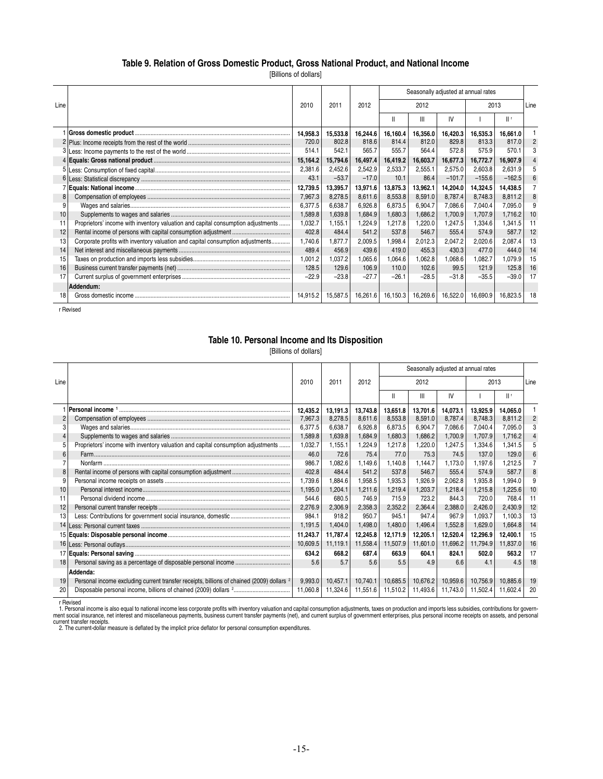### **Table 9. Relation of Gross Domestic Product, Gross National Product, and National Income**

[Billions of dollars]

|      |                                                                                  |          |          |          |          |          |          | Seasonally adjusted at annual rates |          |                |
|------|----------------------------------------------------------------------------------|----------|----------|----------|----------|----------|----------|-------------------------------------|----------|----------------|
| Line |                                                                                  | 2010     | 2011     | 2012     |          | 2012     |          | 2013                                |          | Line           |
|      |                                                                                  |          |          |          | ш        | Ш        | IV       |                                     | Шŗ       |                |
|      |                                                                                  | 14,958.3 | 15,533.8 | 16,244.6 | 16,160.4 | 16,356.0 | 16,420.3 | 16,535.3                            | 16,661.0 |                |
|      |                                                                                  | 720.0    | 802.8    | 818.6    | 814.4    | 812.0    | 829.8    | 813.3                               | 817.0    | $\overline{2}$ |
| 3.   |                                                                                  | 514.1    | 542.1    | 565.7    | 555.7    | 564.4    | 572.8    | 575.9                               | 570.1    | 3              |
|      |                                                                                  | 15,164.2 | 15,794.6 | 16,497.4 | 16,419.2 | 16,603.7 | 16,677.3 | 16,772.7                            | 16,907.9 |                |
| 5    |                                                                                  | 2,381.6  | 2,452.6  | 2,542.9  | 2,533.7  | 2,555.1  | 2,575.0  | 2,603.8                             | 2,631.9  | 5              |
|      |                                                                                  | 43.1     | $-53.7$  | $-17.0$  | 10.1     | 86.4     | $-101.7$ | $-155.6$                            | $-162.5$ | 6              |
|      |                                                                                  | 12,739.5 | 13,395.7 | 13,971.6 | 13,875.3 | 13,962.1 | 14,204.0 | 14,324.5                            | 14,438.5 |                |
| 8    |                                                                                  | 7,967.3  | 8,278.5  | 8,611.6  | 8,553.8  | 8,591.0  | 8,787.4  | 8,748.3                             | 8,811.2  | 8              |
| 9    |                                                                                  | 6,377.5  | 6,638.7  | 6,926.8  | 6,873.5  | 6,904.7  | 7,086.6  | 7,040.4                             | 7,095.0  | 9              |
| 10   |                                                                                  | 1,589.8  | 1,639.8  | 1,684.9  | 1,680.3  | 1,686.2  | 1,700.9  | 1,707.9                             | 1,716.2  | 10             |
| 11   | Proprietors' income with inventory valuation and capital consumption adjustments | 1,032.7  | 1,155.1  | 1,224.9  | 1,217.8  | 1,220.0  | 1,247.5  | 1,334.6                             | 1,341.5  | 11             |
| 12   |                                                                                  | 402.8    | 484.4    | 541.2    | 537.8    | 546.7    | 555.4    | 574.9                               | 587.7    | 12             |
| 13   | Corporate profits with inventory valuation and capital consumption adjustments   | 1,740.6  | 1,877.7  | 2,009.5  | 1,998.4  | 2,012.3  | 2,047.2  | 2,020.6                             | 2,087.4  | 13             |
| 14   |                                                                                  | 489.4    | 456.9    | 439.6    | 419.0    | 455.3    | 430.3    | 477.0                               | 444.0    | 14             |
| 15   |                                                                                  | 1,001.2  | 1,037.2  | 1,065.6  | 1,064.6  | 1,062.8  | 1,068.6  | 1,082.7                             | 1.079.9  | 15             |
| 16   |                                                                                  | 128.5    | 129.6    | 106.9    | 110.0    | 102.6    | 99.5     | 121.9                               | 125.8    | 16             |
| 17   |                                                                                  | $-22.9$  | $-23.8$  | $-27.7$  | $-26.1$  | $-28.5$  | $-31.8$  | $-35.5$                             | $-39.0$  | 17             |
|      | Addendum:                                                                        |          |          |          |          |          |          |                                     |          |                |
| 18   |                                                                                  | 14.915.2 | 15,587.5 | 16,261.6 | 16,150.3 | 16,269.6 | 16,522.0 | 16,690.9                            | 16,823.5 | 18             |

r Revised

### **Table 10. Personal Income and Its Disposition**

[Billions of dollars]

|      |                                                                                                      |          |          |          |              |          | Seasonally adjusted at annual rates |          |          |                |
|------|------------------------------------------------------------------------------------------------------|----------|----------|----------|--------------|----------|-------------------------------------|----------|----------|----------------|
| Line |                                                                                                      | 2010     | 2011     | 2012     |              | 2012     |                                     | 2013     |          | Line           |
|      |                                                                                                      |          |          |          | $\mathsf{I}$ | Ш        | IV                                  |          | Шr       |                |
|      |                                                                                                      | 12.435.2 | 13.191.3 | 13.743.8 | 13,651.8     | 13.701.6 | 14,073.1                            | 13.925.9 | 14.065.0 |                |
|      |                                                                                                      | 7,967.3  | 8.278.5  | 8.611.6  | 8,553.8      | 8.591.0  | 8.787.4                             | 8.748.3  | 8.811.2  | $\overline{2}$ |
| 3    |                                                                                                      | 6.377.5  | 6.638.7  | 6.926.8  | 6.873.5      | 6.904.7  | 7.086.6                             | 7.040.4  | 7.095.0  | 3              |
| 4    |                                                                                                      | 1,589.8  | 1,639.8  | 1,684.9  | 1,680.3      | 1,686.2  | 1,700.9                             | 1,707.9  | 1.716.2  |                |
|      | Proprietors' income with inventory valuation and capital consumption adjustments                     | 1,032.7  | 1,155.1  | 1.224.9  | 1,217.8      | 1.220.0  | 1,247.5                             | 1,334.6  | 1.341.5  | 5              |
| 6    |                                                                                                      | 46.0     | 72.6     | 75.4     | 77.0         | 75.3     | 74.5                                | 137.0    | 129.0    | 6              |
|      |                                                                                                      | 986.7    | 1,082.6  | 1.149.6  | 1.140.8      | 1.144.7  | 1.173.0                             | 1,197.6  | 1.212.5  | 7              |
|      |                                                                                                      | 402.8    | 484.4    | 541.2    | 537.8        | 546.7    | 555.4                               | 574.9    | 587.7    | $\mathsf{R}$   |
| 9    |                                                                                                      | 1,739.6  | 1.884.6  | 1.958.5  | 1.935.3      | 1,926.9  | 2.062.8                             | 1.935.8  | 1.994.0  | 9              |
| 10   |                                                                                                      | 1,195.0  | 1.204.1  | 1,211.6  | 1,219.4      | 1,203.7  | 1,218.4                             | 1,215.8  | 1.225.6  | 10             |
| 11   |                                                                                                      | 544.6    | 680.5    | 746.9    | 715.9        | 723.2    | 844.3                               | 720.0    | 768.4    | 11             |
| 12   |                                                                                                      | 2,276.9  | 2,306.9  | 2.358.3  | 2.352.2      | 2.364.4  | 2,388.0                             | 2,426.0  | 2.430.9  | 12             |
| 13   |                                                                                                      | 984.1    | 918.2    | 950.7    | 945.1        | 947.4    | 967.9                               | 1,093.7  | 1.100.3  | 13             |
| 14   |                                                                                                      | 1.191.5  | 1.404.0  | 1.498.0  | 1.480.0      | 1.496.4  | 1.552.8                             | 1.629.0  | 1.664.8  | 14             |
|      |                                                                                                      | 11,243.7 | 11.787.4 | 12,245.8 | 12.171.9     | 12,205.1 | 12,520.4                            | 12,296.9 | 12,400.1 | 15             |
| 16   |                                                                                                      | 10,609.5 | 11,119.1 | 11,558.4 | 11,507.9     | 11,601.0 | 11,696.2                            | 11,794.9 | 11,837.0 | 16             |
|      |                                                                                                      | 634.2    | 668.2    | 687.4    | 663.9        | 604.1    | 824.1                               | 502.0    | 563.2    | 17             |
| 18   |                                                                                                      | 5.6      | 5.7      | 5.6      | 5.5          | 4.9      | 6.6                                 | 4.1      | 4.5      | 18             |
|      | Addenda:                                                                                             |          |          |          |              |          |                                     |          |          |                |
| 19   | Personal income excluding current transfer receipts, billions of chained (2009) dollars <sup>2</sup> | 9.993.0  | 10,457.1 | 10.740.1 | 10,685.5     | 10,676.2 | 10,959.6                            | 10.756.9 | 10.885.6 | 19             |
| 20   |                                                                                                      | 11,060.8 | 11,324.6 | 11,551.6 | 11,510.2     | 11,493.6 | 11,743.0                            | 11.502.4 | 11,602.4 | 20             |

r Revised<br>1. Personal income is also equal to national income less corporate profits with inventory valuation and capital consumption adjustments, taxes on production and imports less subsidies, contributions for govern-<br>m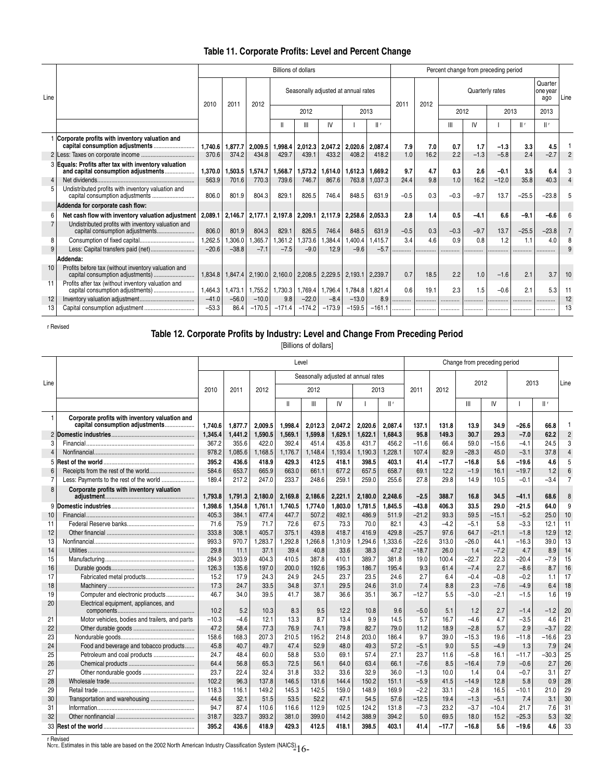# **Table 11. Corporate Profits: Level and Percent Change**

|                |                                                                                             |         |         |          | <b>Billions of dollars</b> |          |          |                                     |          |        |      |                                               |        | Percent change from preceding period |         |         |      |
|----------------|---------------------------------------------------------------------------------------------|---------|---------|----------|----------------------------|----------|----------|-------------------------------------|----------|--------|------|-----------------------------------------------|--------|--------------------------------------|---------|---------|------|
| Line           |                                                                                             | 2010    | $201 -$ | 2012     |                            |          |          | Seasonally adjusted at annual rates |          | 2011   | 2012 | Quarter<br>Quarterly rates<br>one year<br>ago |        |                                      |         |         | Line |
|                |                                                                                             |         |         |          | 2012                       |          |          | 2013                                |          |        |      | 2012                                          |        | 2013                                 |         | 2013    |      |
|                |                                                                                             |         |         |          |                            | Ш        | IV       |                                     | Шr       |        |      | Ш                                             | I۷     |                                      | Шŗ      | $  $ f  |      |
|                | Corporate profits with inventory valuation and                                              | 1.740.6 | 1.877.7 | 2.009.5  | 1.998.4                    | 2.012.3  | 2.047.2  | 2.020.6                             | 2.087.4  | 7.9    | 7.0  | 0.7                                           | 1.7    | $-1.3$                               | 3.3     | 4.5     |      |
|                |                                                                                             | 370.6   | 374.2   | 434.8    | 429.7                      | 439.1    | 433.2    | 408.2                               | 418.2    | 1.0    | 16.2 | 2.2                                           | $-1.3$ | $-5.8$                               | 2.4     | $-2.7$  |      |
|                | 3 Equals: Profits after tax with inventory valuation<br>and capital consumption adjustments | 1,370.0 | 1,503.5 | 1,574.7  | 1,568.7                    | 1,573.2  | 1,614.0  | 1.612.3                             | 1.669.2  | 9.7    | 4.7  | 0.3                                           | 2.6    | $-0.1$                               | 3.5     | 6.4     |      |
| $\overline{4}$ |                                                                                             | 563.9   | 701.6   | 770.3    | 739.6                      | 746.7    | 867.6    | 763.8                               | 1.037.3  | 24.4   | 9.8  | 1.0                                           | 16.2   | $-12.0$                              | 35.8    | 40.3    |      |
| 5              | Undistributed profits with inventory valuation and                                          | 806.0   | 801.9   | 804.3    | 829.1                      | 826.5    | 746.4    | 848.5                               | 631.9    | $-0.5$ | 0.3  | $-0.3$                                        | $-9.7$ | 13.7                                 | $-25.5$ | $-23.8$ |      |
|                | Addenda for corporate cash flow:                                                            |         |         |          |                            |          |          |                                     |          |        |      |                                               |        |                                      |         |         |      |
| 6              | Net cash flow with inventory valuation adjustment                                           | 2,089.1 | 2,146.7 | 2,177.1  | 2,197.8                    | 2,209.1  | 2,117.9  | 2,258.6                             | 2.053.3  | 2.8    | 1.4  | 0.5                                           | $-4.1$ | 6.6                                  | $-9.1$  | $-6.6$  |      |
|                | Undistributed profits with inventory valuation and<br>capital consumption adjustments       | 806.0   | 801.9   | 804.3    | 829.1                      | 826.5    | 746.4    | 848.5                               | 631.9    | $-0.5$ | 0.3  | $-0.3$                                        | $-9.7$ | 13.7                                 | $-25.5$ | $-23.8$ |      |
| 8              |                                                                                             | 1,262.5 | .306.0  | ,365.7   | 1,361.2                    | 373.6    | ,384.4   | .400.4                              | 1.415.7  | 3.4    | 4.6  | 0.9                                           | 0.8    | 1.2                                  | 1.1     | 4.0     |      |
|                |                                                                                             | $-20.6$ | $-38.8$ | $-7.1$   | $-7.5$                     | $-9.0$   | 12.9     | $-9.6$                              | $-5.7$   | .      |      |                                               |        |                                      |         |         |      |
|                | Addenda:                                                                                    |         |         |          |                            |          |          |                                     |          |        |      |                                               |        |                                      |         |         |      |
| 10             | Profits before tax (without inventory valuation and<br>capital consumption adjustments)     | 1.834.8 | 1,847.4 | 2,190.0  | 2,160.0                    | 2,208.5  | 2,229.5  | 2,193.1                             | 2.239.7  | 0.7    | 18.5 | 2.2                                           | 1.0    | $-1.6$                               | 2.1     | 3.7     | 10   |
| 11             | Profits after tax (without inventory valuation and<br>capital consumption adjustments)      | 1.464.3 | .473.1  | 1,755.2  | 1,730.3                    | .769.4   | 1,796.4  | 1.784.8                             | 1.821.4  | 0.6    | 19.1 | 2.3                                           | 1.5    | $-0.6$                               | 2.1     | 5.3     | 11   |
| 12             |                                                                                             | $-41.0$ | $-56.0$ | $-10.0$  | 9.8                        | $-22.0$  | $-8.4$   | $-13.0$                             | 8.9      |        |      |                                               |        |                                      |         |         | 12   |
| 13             |                                                                                             | $-53.3$ | 86.4    | $-170.5$ | $-171.4$                   | $-174.2$ | $-173.9$ | $-159.5$                            | $-161.1$ |        |      |                                               |        |                                      |         |         | 13   |

r Revised

#### **Table 12. Corporate Profits by Industry: Level and Change From Preceding Period**

[Billions of dollars]

|                |                                                                                   | Level   |         |         |         |                                     |         |         |         |         | Change from preceding period |         |         |         |         |                |  |  |  |
|----------------|-----------------------------------------------------------------------------------|---------|---------|---------|---------|-------------------------------------|---------|---------|---------|---------|------------------------------|---------|---------|---------|---------|----------------|--|--|--|
| Line           |                                                                                   |         |         |         |         | Seasonally adjusted at annual rates |         |         |         |         |                              | 2012    |         | 2013    |         | Line           |  |  |  |
|                |                                                                                   | 2010    | 2011    | 2012    |         | 2012                                |         |         | 2013    | 2011    | 2012                         |         |         |         |         |                |  |  |  |
|                |                                                                                   |         |         |         | Ш       | $\mathbb{H}$                        | IV      |         | Шr      |         |                              | Ш       | IV      |         | Шr      |                |  |  |  |
| 1              | Corporate profits with inventory valuation and<br>capital consumption adjustments | 1.740.6 | 1.877.7 | 2.009.5 | 1.998.4 | 2,012.3                             | 2.047.2 | 2.020.6 | 2.087.4 | 137.1   | 131.8                        | 13.9    | 34.9    | $-26.6$ | 66.8    |                |  |  |  |
|                |                                                                                   | 1,345.4 | 1,441.2 | 1,590.5 | 1,569.1 | 1,599.8                             | 1,629.1 | 1,622.1 | 1,684.3 | 95.8    | 149.3                        | 30.7    | 29.3    | $-7.0$  | 62.2    | $\overline{2}$ |  |  |  |
| 3              |                                                                                   | 367.2   | 355.6   | 422.0   | 392.4   | 451.4                               | 435.8   | 431.7   | 456.2   | $-11.6$ | 66.4                         | 59.0    | $-15.6$ | $-4.1$  | 24.5    | 3              |  |  |  |
| 4              |                                                                                   | 978.2   | 1,085.6 | 1,168.5 | 1,176.7 | 1,148.4                             | 1,193.4 | 1,190.3 | 1,228.1 | 107.4   | 82.9                         | $-28.3$ | 45.0    | $-3.1$  | 37.8    | 4              |  |  |  |
| 5              |                                                                                   | 395.2   | 436.6   | 418.9   | 429.3   | 412.5                               | 418.1   | 398.5   | 403.1   | 41.4    | $-17.7$                      | $-16.8$ | 5.6     | $-19.6$ | 4.6     | 5              |  |  |  |
| 6              |                                                                                   | 584.6   | 653.7   | 665.9   | 663.0   | 661.1                               | 677.2   | 657.5   | 658.7   | 69.1    | 12.2                         | $-1.9$  | 16.1    | $-19.7$ | 1.2     | 6              |  |  |  |
| $\overline{7}$ | Less: Payments to the rest of the world                                           | 189.4   | 217.2   | 247.0   | 233.7   | 248.6                               | 259.1   | 259.0   | 255.6   | 27.8    | 29.8                         | 14.9    | 10.5    | $-0.1$  | $-3.4$  | $\overline{7}$ |  |  |  |
| 8              | Corporate profits with inventory valuation                                        | 1,793.8 | 1,791.3 | 2,180.0 | 2,169.8 | 2,186.6                             | 2,221.1 | 2,180.0 | 2.248.6 | $-2.5$  | 388.7                        | 16.8    | 34.5    | $-41.1$ | 68.6    | 8              |  |  |  |
|                |                                                                                   | 1,398.6 | 1,354.8 | 1,761.1 | 1.740.5 | 1.774.0                             | 1,803.0 | 1,781.5 | 1.845.5 | $-43.8$ | 406.3                        | 33.5    | 29.0    | $-21.5$ | 64.0    | 9              |  |  |  |
| 10             |                                                                                   | 405.3   | 384.1   | 477.4   | 447.7   | 507.2                               | 492.1   | 486.9   | 511.9   | $-21.2$ | 93.3                         | 59.5    | $-15.1$ | $-5.2$  | 25.0    | 10             |  |  |  |
| 11             |                                                                                   | 71.6    | 75.9    | 71.7    | 72.6    | 67.5                                | 73.3    | 70.0    | 82.1    | 4.3     | $-4.2$                       | $-5.1$  | 5.8     | $-3.3$  | 12.1    | 11             |  |  |  |
| 12             |                                                                                   | 333.8   | 308.1   | 405.7   | 375.1   | 439.8                               | 418.7   | 416.9   | 429.8   | $-25.7$ | 97.6                         | 64.7    | $-21.1$ | $-1.8$  | 12.9    | 12             |  |  |  |
| 13             |                                                                                   | 993.3   | 970.7   | 1,283.7 | .292.8  | 1.266.8                             | 1,310.9 | 1.294.6 | .333.6  | $-22.6$ | 313.0                        | $-26.0$ | 44.1    | $-16.3$ | 39.0    | 13             |  |  |  |
| 14             |                                                                                   | 29.8    | 11.1    | 37.1    | 39.4    | 40.8                                | 33.6    | 38.3    | 47.2    | $-18.7$ | 26.0                         | 1.4     | $-7.2$  | 4.7     | 8.9     | 14             |  |  |  |
| 15             |                                                                                   | 284.9   | 303.9   | 404.3   | 410.5   | 387.8                               | 410.1   | 389.7   | 381.8   | 19.0    | 100.4                        | $-22.7$ | 22.3    | $-20.4$ | $-7.9$  | 15             |  |  |  |
| 16             |                                                                                   | 126.3   | 135.6   | 197.0   | 200.0   | 192.6                               | 195.3   | 186.7   | 195.4   | 9.3     | 61.4                         | $-7.4$  | 2.7     | $-8.6$  | 8.7     | 16             |  |  |  |
| 17             | Fabricated metal products                                                         | 15.2    | 17.9    | 24.3    | 24.9    | 24.5                                | 23.7    | 23.5    | 24.6    | 2.7     | 6.4                          | $-0.4$  | $-0.8$  | $-0.2$  | 1.1     | 17             |  |  |  |
| 18             |                                                                                   | 17.3    | 24.7    | 33.5    | 34.8    | 37.1                                | 29.5    | 24.6    | 31.0    | 7.4     | 8.8                          | 2.3     | $-7.6$  | $-4.9$  | 6.4     | 18             |  |  |  |
| 19             | Computer and electronic products                                                  | 46.7    | 34.0    | 39.5    | 41.7    | 38.7                                | 36.6    | 35.1    | 36.7    | $-12.7$ | 5.5                          | $-3.0$  | $-2.1$  | $-1.5$  | 1.6     | 19             |  |  |  |
| 20             | Electrical equipment, appliances, and                                             | 10.2    | 5.2     | 10.3    | 8.3     | 9.5                                 | 12.2    | 10.8    | 9.6     | $-5.0$  | 5.1                          | 1.2     | 2.7     | $-1.4$  | $-1.2$  | 20             |  |  |  |
| 21             | Motor vehicles, bodies and trailers, and parts                                    | $-10.3$ | $-4.6$  | 12.1    | 13.3    | 8.7                                 | 13.4    | 9.9     | 14.5    | 5.7     | 16.7                         | $-4.6$  | 4.7     | $-3.5$  | 4.6     | 21             |  |  |  |
| 22             |                                                                                   | 47.2    | 58.4    | 77.3    | 76.9    | 74.1                                | 79.8    | 82.7    | 79.0    | 11.2    | 18.9                         | $-2.8$  | 5.7     | 2.9     | $-3.7$  | 22             |  |  |  |
| 23             |                                                                                   | 158.6   | 168.3   | 207.3   | 210.5   | 195.2                               | 214.8   | 203.0   | 186.4   | 9.7     | 39.0                         | $-15.3$ | 19.6    | $-11.8$ | $-16.6$ | 23             |  |  |  |
| 24             | Food and beverage and tobacco products                                            | 45.8    | 40.7    | 49.7    | 47.4    | 52.9                                | 48.0    | 49.3    | 57.2    | $-5.1$  | 9.0                          | 5.5     | $-4.9$  | 1.3     | 7.9     | 24             |  |  |  |
| 25             | Petroleum and coal products                                                       | 24.7    | 48.4    | 60.0    | 58.8    | 53.0                                | 69.1    | 57.4    | 27.1    | 23.7    | 11.6                         | $-5.8$  | 16.1    | $-11.7$ | $-30.3$ | 25             |  |  |  |
| 26             |                                                                                   | 64.4    | 56.8    | 65.3    | 72.5    | 56.1                                | 64.0    | 63.4    | 66.1    | $-7.6$  | 8.5                          | $-16.4$ | 7.9     | $-0.6$  | 2.7     | 26             |  |  |  |
| 27             |                                                                                   | 23.7    | 22.4    | 32.4    | 31.8    | 33.2                                | 33.6    | 32.9    | 36.0    | $-1.3$  | 10.0                         | 1.4     | 0.4     | $-0.7$  | 3.1     | 27             |  |  |  |
| 28             |                                                                                   | 102.2   | 96.3    | 137.8   | 146.5   | 131.6                               | 144.4   | 150.2   | 151.1   | $-5.9$  | 41.5                         | $-14.9$ | 12.8    | 5.8     | 0.9     | 28             |  |  |  |
| 29             |                                                                                   | 118.3   | 116.1   | 149.2   | 145.3   | 142.5                               | 159.0   | 148.9   | 169.9   | $-2.2$  | 33.1                         | $-2.8$  | 16.5    | $-10.1$ | 21.0    | 29             |  |  |  |
| 30             | Transportation and warehousing                                                    | 44.6    | 32.1    | 51.5    | 53.5    | 52.2                                | 47.1    | 54.5    | 57.6    | $-12.5$ | 19.4                         | $-1.3$  | $-5.1$  | 7.4     | 3.1     | 30             |  |  |  |
| 31             |                                                                                   | 94.7    | 87.4    | 110.6   | 116.6   | 112.9                               | 102.5   | 124.2   | 131.8   | $-7.3$  | 23.2                         | $-3.7$  | $-10.4$ | 21.7    | 7.6     | 31             |  |  |  |
| 32             |                                                                                   | 318.7   | 323.7   | 393.2   | 381.0   | 399.0                               | 414.2   | 388.9   | 394.2   | 5.0     | 69.5                         | 18.0    | 15.2    | $-25.3$ | 5.3     | 32             |  |  |  |
|                |                                                                                   | 395.2   | 436.6   | 418.9   | 429.3   | 412.5                               | 418.1   | 398.5   | 403.1   | 41.4    | $-17.7$                      | $-16.8$ | 5.6     | $-19.6$ | 4.6     | 33             |  |  |  |

r Revised<br>Nore. Estimates in this table are based on the 2002 North American Industry Classification System (NAICS) 1  $6$ –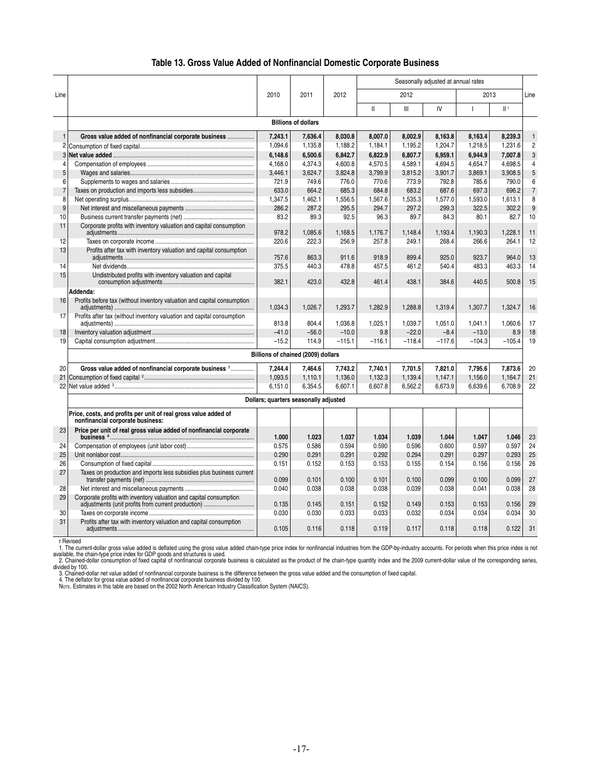|  | Table 13. Gross Value Added of Nonfinancial Domestic Corporate Business |  |  |
|--|-------------------------------------------------------------------------|--|--|
|--|-------------------------------------------------------------------------|--|--|

|                |                                                                                                                          |         |                                       |          |              |          | Seasonally adjusted at annual rates |              |          |                 |
|----------------|--------------------------------------------------------------------------------------------------------------------------|---------|---------------------------------------|----------|--------------|----------|-------------------------------------|--------------|----------|-----------------|
| Line           |                                                                                                                          | 2010    | 2011                                  | 2012     |              | 2012     |                                     | 2013         |          | Line            |
|                |                                                                                                                          |         |                                       |          | $\mathbf{I}$ | III      | IV                                  | $\mathbf{I}$ | $  $ f   |                 |
|                |                                                                                                                          |         | <b>Billions of dollars</b>            |          |              |          |                                     |              |          |                 |
| $\mathbf{1}$   | Gross value added of nonfinancial corporate business                                                                     | 7.243.1 | 7,636.4                               | 8,030.8  | 8,007.0      | 8,002.9  | 8,163.8                             | 8,163.4      | 8,239.3  | $\mathbf{1}$    |
| 2              |                                                                                                                          | 1,094.6 | 1,135.8                               | 1,188.2  | 1,184.1      | 1,195.2  | 1,204.7                             | 1,218.5      | 1,231.6  | $\overline{2}$  |
| 3              |                                                                                                                          | 6,148.6 | 6,500.6                               | 6,842.7  | 6,822.9      | 6,807.7  | 6,959.1                             | 6,944.9      | 7,007.8  | 3               |
| 4              |                                                                                                                          | 4,168.0 | 4,374.3                               | 4,600.8  | 4,570.5      | 4,589.1  | 4,694.5                             | 4,654.7      | 4,698.5  | $\overline{4}$  |
| 5              |                                                                                                                          | 3,446.1 | 3.624.7                               | 3.824.8  | 3.799.9      | 3.815.2  | 3.901.7                             | 3.869.1      | 3.908.5  | 5               |
| 6              |                                                                                                                          | 721.9   | 749.6                                 | 776.0    | 770.6        | 773.9    | 792.8                               | 785.6        | 790.0    | $6\overline{6}$ |
| $\overline{7}$ |                                                                                                                          | 633.0   | 664.2                                 | 685.3    | 684.8        | 683.2    | 687.6                               | 697.3        | 696.2    | $\overline{7}$  |
| 8              |                                                                                                                          | 1,347.5 | 1,462.1                               | 1,556.5  | 1,567.6      | 1,535.3  | 1,577.0                             | 1,593.0      | 1,613.1  | 8               |
| 9              |                                                                                                                          | 286.2   | 287.2                                 | 295.5    | 294.7        | 297.2    | 299.3                               | 322.5        | 302.2    | 9               |
| 10             |                                                                                                                          | 83.2    | 89.3                                  | 92.5     | 96.3         | 89.7     | 84.3                                | 80.1         | 82.7     | 10              |
| 11             | Corporate profits with inventory valuation and capital consumption                                                       | 978.2   | 1.085.6                               | 1.168.5  | 1.176.7      | 1.148.4  | 1.193.4                             | 1.190.3      | 1.228.1  | 11              |
| 12             |                                                                                                                          | 220.6   | 222.3                                 | 256.9    | 257.8        | 249.1    | 268.4                               | 266.6        | 264.1    | 12              |
| 13             | Profits after tax with inventory valuation and capital consumption                                                       |         |                                       |          |              |          |                                     |              |          |                 |
|                |                                                                                                                          | 757.6   | 863.3                                 | 911.6    | 918.9        | 899.4    | 925.0                               | 923.7        | 964.0    | 13              |
| 14             |                                                                                                                          | 375.5   | 440.3                                 | 478.8    | 457.5        | 461.2    | 540.4                               | 483.3        | 463.3    | 14              |
| 15             | Undistributed profits with inventory valuation and capital                                                               | 382.1   | 423.0                                 | 432.8    | 461.4        | 438.1    | 384.6                               | 440.5        | 500.8    | 15              |
|                | Addenda:                                                                                                                 |         |                                       |          |              |          |                                     |              |          |                 |
| 16             | Profits before tax (without inventory valuation and capital consumption                                                  | 1.034.3 | 1.026.7                               | 1.293.7  | 1.282.9      | 1.288.8  | 1.319.4                             | 1.307.7      | 1.324.7  | 16              |
| 17             | Profits after tax (without inventory valuation and capital consumption                                                   | 813.8   | 804.4                                 | 1.036.8  | 1.025.1      | 1.039.7  | 1.051.0                             | 1.041.1      | 1.060.6  | 17              |
| 18             |                                                                                                                          | $-41.0$ | $-56.0$                               | $-10.0$  | 9.8          | $-22.0$  | $-8.4$                              | $-13.0$      | 8.9      | 18              |
| 19             |                                                                                                                          | $-15.2$ | 114.9                                 | $-115.1$ | $-116.1$     | $-118.4$ | $-117.6$                            | $-104.3$     | $-105.4$ | 19              |
|                |                                                                                                                          |         | Billions of chained (2009) dollars    |          |              |          |                                     |              |          |                 |
| 20             | Gross value added of nonfinancial corporate business 1                                                                   | 7.244.4 | 7.464.6                               | 7.743.2  | 7.740.1      | 7.701.5  | 7.821.0                             | 7.795.6      | 7,873.6  | 20              |
|                |                                                                                                                          | 1,093.5 | 1,110.1                               | 1,136.0  | 1,132.3      | 1,139.4  | 1,147.1                             | 1,156.0      | 1,164.7  | 21              |
| 22             |                                                                                                                          | 6,151.0 | 6,354.5                               | 6,607.1  | 6,607.8      | 6,562.2  | 6,673.9                             | 6,639.6      | 6,708.9  | 22              |
|                |                                                                                                                          |         | Dollars; quarters seasonally adjusted |          |              |          |                                     |              |          |                 |
|                | Price, costs, and profits per unit of real gross value added of                                                          |         |                                       |          |              |          |                                     |              |          |                 |
|                | nonfinancial corporate business:                                                                                         |         |                                       |          |              |          |                                     |              |          |                 |
| 23             | Price per unit of real gross value added of nonfinancial corporate                                                       | 1.000   | 1.023                                 | 1.037    | 1.034        | 1.039    | 1.044                               | 1.047        | 1.046    | 23              |
| 24             |                                                                                                                          | 0.575   | 0.586                                 | 0.594    | 0.590        | 0.596    | 0.600                               | 0.597        | 0.597    | 24              |
| 25             |                                                                                                                          | 0.290   | 0.291                                 | 0.291    | 0.292        | 0.294    | 0.291                               | 0.297        | 0.293    | 25              |
| 26             |                                                                                                                          | 0.151   | 0.152                                 | 0.153    | 0.153        | 0.155    | 0.154                               | 0.156        | 0.156    | 26              |
| 27             | Taxes on production and imports less subsidies plus business current                                                     | 0.099   | 0.101                                 | 0.100    | 0.101        | 0.100    | 0.099                               | 0.100        | 0.099    | 27              |
| 28             |                                                                                                                          | 0.040   | 0.038                                 | 0.038    | 0.038        | 0.039    | 0.038                               | 0.041        | 0.038    | 28              |
| 29             | Corporate profits with inventory valuation and capital consumption<br>adjustments (unit profits from current production) | 0.135   | 0.145                                 | 0.151    | 0.152        | 0.149    | 0.153                               | 0.153        | 0.156    | 29              |
| 30             |                                                                                                                          | 0.030   | 0.030                                 | 0.033    | 0.033        | 0.032    | 0.034                               | 0.034        | 0.034    | 30              |
| 31             | Profits after tax with inventory valuation and capital consumption                                                       | 0.105   | 0.116                                 | 0.118    | 0.119        | 0.117    | 0.118                               | 0.118        | 0.122    | 31              |
|                |                                                                                                                          |         |                                       |          |              |          |                                     |              |          |                 |

r Revised<br>1. The current-dollar gross value added is deflated using the gross value added chain-type price index for nonfinancial industries from the GDP-by-industry accounts. For periods when this price index is not<br>2. Ch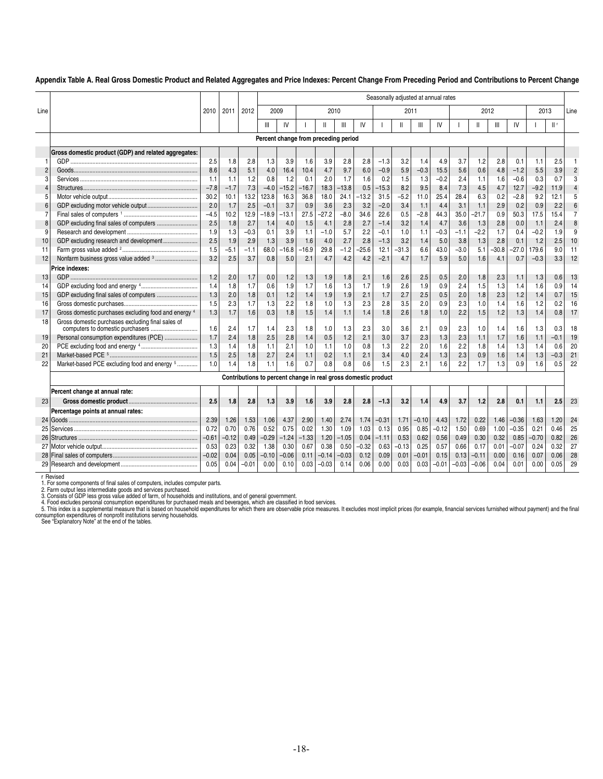#### **Appendix Table A. Real Gross Domestic Product and Related Aggregates and Price Indexes: Percent Change From Preceding Period and Contributions to Percent Change**

|                |                                                      |         |         |         | Seasonally adjusted at annual rates |         |         |                                      |         |                                                                |         |         |         |         |         |         |         |         |         |        |                |
|----------------|------------------------------------------------------|---------|---------|---------|-------------------------------------|---------|---------|--------------------------------------|---------|----------------------------------------------------------------|---------|---------|---------|---------|---------|---------|---------|---------|---------|--------|----------------|
| Line           |                                                      | 2010    | 2011    | 2012    | 2009                                |         |         | 2010                                 |         |                                                                |         | 2011    |         |         | 2012    |         |         |         | 2013    |        | Line           |
|                |                                                      |         |         |         | Ш                                   | IV      |         | $\mathbf{II}$                        | Ш       | IV                                                             |         | Ш       | Ш       | IV      |         | Ш       | Ш       | IV      |         | $  $ f |                |
|                |                                                      |         |         |         |                                     |         |         | Percent change from preceding period |         |                                                                |         |         |         |         |         |         |         |         |         |        |                |
|                | Gross domestic product (GDP) and related aggregates: |         |         |         |                                     |         |         |                                      |         |                                                                |         |         |         |         |         |         |         |         |         |        |                |
|                |                                                      | 2.5     | 1.8     | 2.8     | 1.3                                 | 3.9     | 1.6     | 3.9                                  | 2.8     | 2.8                                                            | $-1.3$  | 3.2     | 1.4     | 4.9     | 3.7     | 1.2     | 2.8     | 0.1     | 1.1     | 2.5    |                |
| 2              |                                                      | 8.6     | 4.3     | 5.1     | 4.0                                 | 16.4    | 10.4    | 4.7                                  | 9.7     | 6.0                                                            | $-0.9$  | 5.9     | $-0.3$  | 15.5    | 5.6     | 0.6     | 4.8     | $-1.2$  | 5.5     | 3.9    | $\overline{2}$ |
| 3              |                                                      | 1.1     | 1.1     | 1.2     | 0.8                                 | 1.2     | 0.1     | 2.0                                  | 1.7     | 1.6                                                            | 0.2     | 1.5     | 1.3     | $-0.2$  | 2.4     | 1.1     | 1.6     | $-0.6$  | 0.3     | 0.7    | 3              |
| $\overline{4}$ |                                                      | $-7.8$  | $-1.7$  | 7.3     | $-4.0$                              | $-15.2$ | $-16.7$ | 18.3                                 | $-13.8$ | 0.5                                                            | $-15.3$ | 8.2     | 9.5     | 8.4     | 7.3     | 4.5     | 4.7     | 12.7    | $-9.2$  | 11.9   | $\overline{4}$ |
| 5              |                                                      | 30.2    | 10.1    | 13.2    | 123.8                               | 16.3    | 36.8    | 18.0                                 | 24.1    | $-13.2$                                                        | 31.5    | $-5.2$  | 11.0    | 25.4    | 28.4    | 6.3     | 0.2     | $-2.8$  | 9.2     | 12.1   | 5              |
| 6              |                                                      | 2.0     | 1.7     | 2.5     | $-0.1$                              | 3.7     | 0.9     | 3.6                                  | 2.3     | 3.2                                                            | $-2.0$  | 3.4     | 1.1     | 4.4     | 3.1     | 1.1     | 2.9     | 0.2     | 0.9     | 2.2    | 6              |
| 7              |                                                      | $-4.5$  | 10.2    | 12.9    | $-18.9$                             | -13.1   | 27.5    | $-27.2$                              | $-8.0$  | 34.6                                                           | 22.6    | 0.5     | $-2.8$  | 44.3    | 35.0    | $-21.7$ | 0.9     | 50.3    | 17.5    | 15.4   | $\overline{7}$ |
| 8              | GDP excluding final sales of computers               | 2.5     | 1.8     | 2.7     | 1.4                                 | 4.0     | 1.5     | 4.1                                  | 2.8     | 2.7                                                            | $-1.4$  | 3.2     | 1.4     | 4.7     | 3.6     | 1.3     | 2.8     | 0.0     | 1.1     | 2.4    | 8              |
| 9              |                                                      | 1.9     | 1.3     | $-0.3$  | 0.1                                 | 3.9     | 1.1     | $-1.0$                               | 5.7     | 2.2                                                            | $-0.1$  | 1.0     | 1.1     | $-0.3$  | $-1.1$  | $-2.2$  | 1.7     | 0.4     | $-0.2$  | 1.9    | 9              |
| 10             | GDP excluding research and development               | 2.5     | 1.9     | 2.9     | 1.3                                 | 3.9     | 1.6     | 4.0                                  | 2.7     | 2.8                                                            | $-1.3$  | 3.2     | 1.4     | 5.0     | 3.8     | 1.3     | 2.8     | 0.1     | 1.2     | 2.5    | 10             |
| 11             |                                                      | 1.5     | $-5.1$  | -1.1    | 68.0                                | $-16.8$ | $-16.9$ | 29.8                                 | $-1.2$  | $-25.6$                                                        | 12.1    | $-31.3$ | 6.6     | 43.0    | $-3.0$  | 5.1     | $-30.8$ | $-27.0$ | 179.6   | 9.0    | 11             |
| 12             |                                                      | 3.2     | 2.5     | 3.7     | 0.8                                 | 5.0     | 2.1     | 4.7                                  | 4.2     | 4.2                                                            | $-2.1$  | 4.7     | 1.7     | 5.9     | 5.0     | 1.6     | 4.1     | 0.7     | $-0.3$  | 3.3    | 12             |
|                | Price indexes:                                       |         |         |         |                                     |         |         |                                      |         |                                                                |         |         |         |         |         |         |         |         |         |        |                |
| 13             |                                                      | 1.2     | 2.0     | 1.7     | 0.0                                 | 1.2     | 1.3     | 1.9                                  | 1.8     | 2.1                                                            | 1.6     | 2.6     | 2.5     | 0.5     | 2.0     | 1.8     | 2.3     | 1.1     | 1.3     | 0.6    | 13             |
| 14             |                                                      | 1.4     | 1.8     | 1.7     | 0.6                                 | 1.9     | 1.7     | 1.6                                  | 1.3     | 1.7                                                            | 1.9     | 2.6     | 1.9     | 0.9     | 2.4     | 1.5     | 1.3     | 1.4     | 1.6     | 0.9    | 14             |
| 15             | GDP excluding final sales of computers               | 1.3     | 2.0     | 1.8     | 0.1                                 | 1.2     | 1.4     | 1.9                                  | 1.9     | 2.1                                                            | 1.7     | 2.7     | 2.5     | 0.5     | 2.0     | 1.8     | 2.3     | 1.2     | 1.4     | 0.7    | 15             |
| 16             |                                                      | 1.5     | 2.3     | 1.7     | 1.3                                 | 2.2     | 1.8     | 1.0                                  | 1.3     | 2.3                                                            | 2.8     | 3.5     | 2.0     | 0.9     | 2.3     | 1.0     | 1.4     | 1.6     | 1.2     | 0.2    | 16             |
| 17             | Gross domestic purchases excluding food and energy 4 | 1.3     | 1.7     | 1.6     | 0.3                                 | 1.8     | 1.5     | 1.4                                  | 1.1     | 1.4                                                            | 1.8     | 2.6     | 1.8     | 1.0     | 2.2     | 1.5     | 1.2     | 1.3     | 1.4     | 0.8    | 17             |
| 18             | Gross domestic purchases excluding final sales of    | 1.6     | 2.4     | 1.7     | 1.4                                 | 2.3     | 1.8     | 1.0                                  | 1.3     | 2.3                                                            | 3.0     | 3.6     | 2.1     | 0.9     | 2.3     | 1.0     | 1.4     | 1.6     | 1.3     | 0.3    | 18             |
| 19             | Personal consumption expenditures (PCE)              | 1.7     | 2.4     | 1.8     | 2.5                                 | 2.8     | 1.4     | 0.5                                  | 1.2     | 2.1                                                            | 3.0     | 3.7     | 2.3     | 1.3     | 2.3     | 1.1     | 1.7     | 1.6     | 1.1     | $-0.1$ | 19             |
| 20             |                                                      | 1.3     | 1.4     | 1.8     | 1.1                                 | 2.1     | 1.0     | 1.1                                  | 1.0     | 0.8                                                            | 1.3     | 2.2     | 2.0     | 1.6     | 2.2     | 1.8     | 1.4     | 1.3     | 1.4     | 0.6    | 20             |
| 21             |                                                      | 1.5     | 2.5     | 1.8     | 2.7                                 | 2.4     | 1.1     | 0.2                                  | 1.1     | 2.1                                                            | 3.4     | 4.0     | 2.4     | 1.3     | 2.3     | 0.9     | 1.6     | 1.4     | 1.3     | $-0.3$ | 21             |
| 22             | Market-based PCE excluding food and energy 5         | 1.0     | 1.4     | 1.8     | 1.1                                 | 1.6     | 0.7     | 0.8                                  | 0.8     | 0.6                                                            | 1.5     | 2.3     | 2.1     | 1.6     | 2.2     | 1.7     | 1.3     | 0.9     | 1.6     | 0.5    | 22             |
|                |                                                      |         |         |         |                                     |         |         |                                      |         | Contributions to percent change in real gross domestic product |         |         |         |         |         |         |         |         |         |        |                |
|                | Percent change at annual rate:                       |         |         |         |                                     |         |         |                                      |         |                                                                |         |         |         |         |         |         |         |         |         |        |                |
| 23             |                                                      | 2.5     | 1.8     | 2.8     | 1.3                                 | 3.9     | 1.6     | 3.9                                  | 2.8     | 2.8                                                            | $-1.3$  | 3.2     | 1.4     | 4.9     | 3.7     | 1.2     | 2.8     | 0.1     | 1.1     | 2.5    | 23             |
|                | Percentage points at annual rates:                   |         |         |         |                                     |         |         |                                      |         |                                                                |         |         |         |         |         |         |         |         |         |        |                |
|                |                                                      | 2.39    | 1.26    | 1.53    | 1.06                                | 4.37    | 2.90    | 1.40                                 | 2.74    | 1.74                                                           | $-0.31$ | 1.71    | $-0.10$ | 4.43    | 1.72    | 0.22    | 1.46    | $-0.36$ | 1.63    | 1.20   | 24             |
| 25             |                                                      | 0.72    | 0.70    | 0.76    | 0.52                                | 0.75    | 0.02    | 1.30                                 | 1.09    | 1.03                                                           | 0.13    | 0.95    | 0.85    | $-0.12$ | 1.50    | 0.69    | 1.00    | $-0.35$ | 0.21    | 0.46   | 25             |
|                |                                                      | $-0.61$ | $-0.12$ | 0.49    | $-0.29$                             | $-1.24$ | $-1.33$ | 1.20                                 | $-1.05$ | 0.04                                                           | -1.11   | 0.53    | 0.62    | 0.56    | 0.49    | 0.30    | 0.32    | 0.85    | $-0.70$ | 0.82   | 26             |
|                |                                                      | 0.53    | 0.23    | 0.32    | 1.38                                | 0.30    | 0.67    | 0.38                                 | 0.50    | $-0.32$                                                        | 0.63    | $-0.13$ | 0.25    | 0.57    | 0.66    | 0.17    | 0.01    | -0.07   | 0.24    | 0.32   | 27             |
|                |                                                      | $-0.02$ | 0.04    | 0.05    | $-0.10$                             | $-0.06$ | 0.11    | $-0.14$                              | -0.03   | 0.12                                                           | 0.09    | 0.01    | $-0.01$ | 0.15    | 0.13    | $-0.11$ | 0.00    | 0.16    | 0.07    | 0.06   | 28             |
|                |                                                      | 0.05    | 0.04    | $-0.01$ | 0.00                                | 0.10    | 0.03    | $-0.03$                              | 0.14    | 0.06                                                           | 0.00    | 0.03    | 0.03    | $-0.01$ | $-0.03$ | $-0.06$ | 0.04    | 0.01    | 0.00    | 0.05   | 29             |

r Revised<br>1. For some components of final sales of computers, includes computer parts.<br>2. Farm output less intermediate goods and services purchased.<br>2. Forms output less intermediate goods and services purchased.<br>4. Food